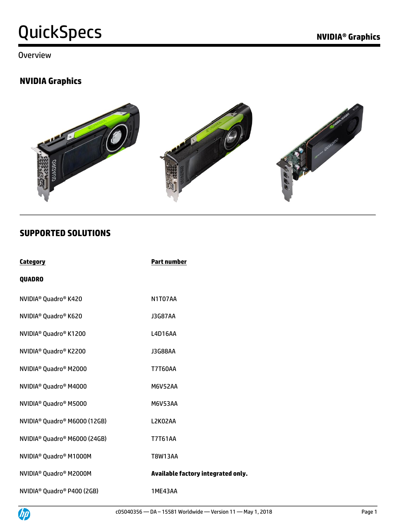#### **Overview**

### **NVIDIA Graphics**



#### **SUPPORTED SOLUTIONS**

| <b>Category</b>                                      | <b>Part number</b>                 |
|------------------------------------------------------|------------------------------------|
| <b>QUADRO</b>                                        |                                    |
| NVIDIA <sup>®</sup> Quadro <sup>®</sup> K420         | N1T07AA                            |
| NVIDIA <sup>®</sup> Quadro <sup>®</sup> K620         | <b>J3G87AA</b>                     |
| NVIDIA <sup>®</sup> Quadro <sup>®</sup> K1200        | L4D16AA                            |
| NVIDIA <sup>®</sup> Quadro <sup>®</sup> K2200        | <b>J3G88AA</b>                     |
| NVIDIA <sup>®</sup> Quadro <sup>®</sup> M2000        | <b>T7T60AA</b>                     |
| NVIDIA <sup>®</sup> Quadro <sup>®</sup> M4000        | <b>M6V52AA</b>                     |
| NVIDIA <sup>®</sup> Quadro <sup>®</sup> M5000        | <b>M6V53AA</b>                     |
| NVIDIA <sup>®</sup> Quadro <sup>®</sup> M6000 (12GB) | L2K02AA                            |
| NVIDIA <sup>®</sup> Quadro <sup>®</sup> M6000 (24GB) | <b>T7T61AA</b>                     |
| NVIDIA <sup>®</sup> Quadro <sup>®</sup> M1000M       | <b>T8W13AA</b>                     |
| NVIDIA <sup>®</sup> Quadro <sup>®</sup> M2000M       | Available factory integrated only. |
| NVIDIA <sup>®</sup> Quadro® P400 (2GB)               | 1ME43AA                            |

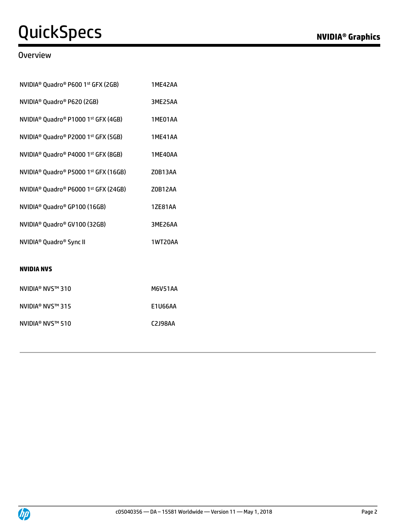#### **Overview**

| NVIDIA <sup>®</sup> Quadro® P600 1st GFX (2GB)                          | 1ME42AA        |
|-------------------------------------------------------------------------|----------------|
| NVIDIA <sup>®</sup> Quadro® P620 (2GB)                                  | 3ME25AA        |
| NVIDIA <sup>®</sup> Quadro <sup>®</sup> P1000 1st GFX (4GB)             | 1ME01AA        |
| NVIDIA <sup>®</sup> Quadro <sup>®</sup> P2000 1 <sup>st</sup> GFX (5GB) | <b>1ME41AA</b> |
| NVIDIA <sup>®</sup> Quadro <sup>®</sup> P4000 1 <sup>st</sup> GFX (8GB) | 1ME40AA        |
| NVIDIA <sup>®</sup> Quadro® P5000 1st GFX (16GB)                        | Z0B13AA        |
| NVIDIA <sup>®</sup> Quadro® P6000 1st GFX (24GB)                        | Z0B12AA        |
| NVIDIA <sup>®</sup> Quadro <sup>®</sup> GP100 (16GB)                    | <b>1ZE81AA</b> |
| NVIDIA <sup>®</sup> Quadro® GV100 (32GB)                                | 3ME26AA        |
| NVIDIA <sup>®</sup> Quadro <sup>®</sup> Sync II                         | 1WT20AA        |
|                                                                         |                |
| <b>NVIDIA NVS</b>                                                       |                |
| NVIDIA <sup>®</sup> NVS™ 310                                            | <b>M6V51AA</b> |

| NVIDIA® NVS™ 315 | E1U66AA |
|------------------|---------|
| NVIDIA® NVS™ 510 | C2J98AA |

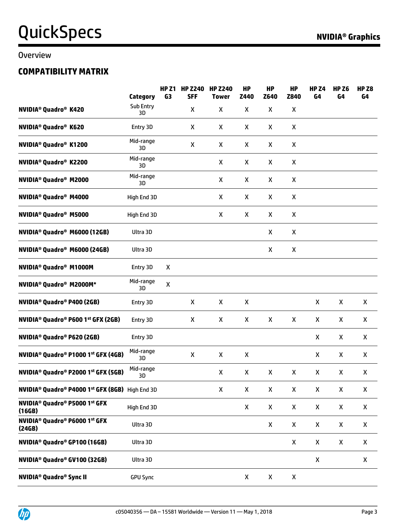#### Overview

### **COMPATIBILITY MATRIX**

|                                                                                     | Category        | <b>HP Z1</b><br>G3 | <b>HP Z240</b><br><b>SFF</b> | <b>HP Z240</b><br><b>Tower</b> | <b>HP</b><br>Z440 | <b>HP</b><br>Z640 | <b>HP</b><br>Z840 | <b>HP Z4</b><br>G4 | <b>HP Z6</b><br>G4 | HP <sub>Z8</sub><br>G4 |
|-------------------------------------------------------------------------------------|-----------------|--------------------|------------------------------|--------------------------------|-------------------|-------------------|-------------------|--------------------|--------------------|------------------------|
| <b>NVIDIA<sup>®</sup> Quadro<sup>®</sup> K420</b>                                   | Sub Entry<br>3D |                    | X                            | X                              | X                 | X                 | X                 |                    |                    |                        |
| <b>NVIDIA<sup>®</sup> Quadro<sup>®</sup> K620</b>                                   | Entry 3D        |                    | X                            | X                              | X                 | X                 | X                 |                    |                    |                        |
| <b>NVIDIA<sup>®</sup> Quadro<sup>®</sup> K1200</b>                                  | Mid-range<br>3D |                    | X                            | X                              | X                 | X                 | X                 |                    |                    |                        |
| <b>NVIDIA<sup>®</sup> Quadro<sup>®</sup> K2200</b>                                  | Mid-range<br>3D |                    |                              | X                              | X                 | X                 | X                 |                    |                    |                        |
| <b>NVIDIA<sup>®</sup> Quadro<sup>®</sup> M2000</b>                                  | Mid-range<br>3D |                    |                              | X                              | X                 | X                 | X                 |                    |                    |                        |
| <b>NVIDIA<sup>®</sup> Quadro<sup>®</sup> M4000</b>                                  | High End 3D     |                    |                              | Χ                              | X                 | X                 | X                 |                    |                    |                        |
| <b>NVIDIA<sup>®</sup> Quadro<sup>®</sup> M5000</b>                                  | High End 3D     |                    |                              | X                              | X                 | X                 | X                 |                    |                    |                        |
| NVIDIA <sup>®</sup> Quadro <sup>®</sup> M6000 (12GB)                                | Ultra 3D        |                    |                              |                                |                   | X                 | X                 |                    |                    |                        |
| NVIDIA <sup>®</sup> Quadro <sup>®</sup> M6000 (24GB)                                | Ultra 3D        |                    |                              |                                |                   | X                 | X                 |                    |                    |                        |
| <b>NVIDIA<sup>®</sup> Quadro<sup>®</sup> M1000M</b>                                 | Entry 3D        | X                  |                              |                                |                   |                   |                   |                    |                    |                        |
| NVIDIA <sup>®</sup> Quadro <sup>®</sup> M2000M*                                     | Mid-range<br>3D | $\pmb{\mathsf{X}}$ |                              |                                |                   |                   |                   |                    |                    |                        |
| <b>NVIDIA<sup>®</sup> Quadro<sup>®</sup> P400 (2GB)</b>                             | Entry 3D        |                    | X                            | X                              | X                 |                   |                   | X                  | X                  | X                      |
| NVIDIA <sup>®</sup> Quadro® P600 1 <sup>st</sup> GFX (2GB)                          | Entry 3D        |                    | X                            | X                              | X                 | X                 | X                 | X                  | X                  | X                      |
| <b>NVIDIA<sup>®</sup> Quadro<sup>®</sup> P620 (2GB)</b>                             | Entry 3D        |                    |                              |                                |                   |                   |                   | X                  | X                  | X                      |
| NVIDIA <sup>®</sup> Quadro® P1000 1st GFX (4GB)                                     | Mid-range<br>3D |                    | X                            | X                              | X                 |                   |                   | X                  | X                  | X                      |
| NVIDIA <sup>®</sup> Quadro® P2000 1st GFX (5GB)                                     | Mid-range<br>ЗD |                    |                              | Χ                              | X                 | X                 | X                 | X                  | X                  | X                      |
| NVIDIA <sup>®</sup> Quadro <sup>®</sup> P4000 1 <sup>st</sup> GFX (8GB) High End 3D |                 |                    |                              | X                              | X                 | X                 | X                 | X                  | X                  | Χ                      |
| <b>NVIDIA<sup>®</sup> Quadro<sup>®</sup> P5000 1st GFX</b><br>(16GB)                | High End 3D     |                    |                              |                                | X                 | X                 | X                 | X                  | X                  | X                      |
| NVIDIA <sup>®</sup> Quadro <sup>®</sup> P6000 1st GFX<br>(24GB)                     | Ultra 3D        |                    |                              |                                |                   | X                 | X                 | X                  | X                  | X                      |
| NVIDIA <sup>®</sup> Quadro® GP100 (16GB)                                            | Ultra 3D        |                    |                              |                                |                   |                   | X                 | X                  | X                  | X                      |
| NVIDIA <sup>®</sup> Quadro® GV100 (32GB)                                            | Ultra 3D        |                    |                              |                                |                   |                   |                   | X                  |                    | X                      |
| <b>NVIDIA<sup>®</sup> Quadro<sup>®</sup> Sync II</b>                                | <b>GPU Sync</b> |                    |                              |                                | X                 | X                 | X                 |                    |                    |                        |

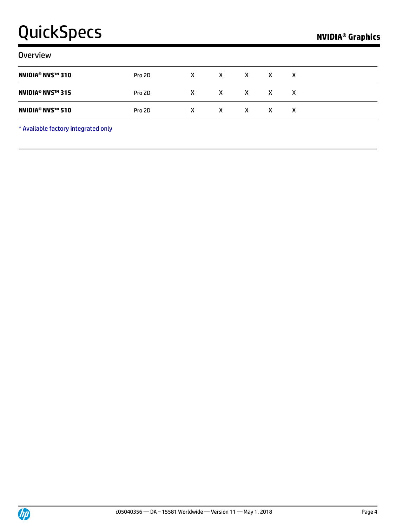| <b>Overview</b>                               |        |   |   |              |   |   |  |
|-----------------------------------------------|--------|---|---|--------------|---|---|--|
| <b>NVIDIA<sup>®</sup> NVS™ 310</b>            | Pro 2D | X | X | X            | X | X |  |
| <b>NVIDIA<sup>®</sup> NVS™ 315</b>            | Pro 2D | x | X | X X          | X | x |  |
| <b>NVIDIA<sup>®</sup> NVS<sup>™</sup> 510</b> | Pro 2D | X | X | $\mathsf{X}$ | x | x |  |
|                                               |        |   |   |              |   |   |  |

\* Available factory integrated only

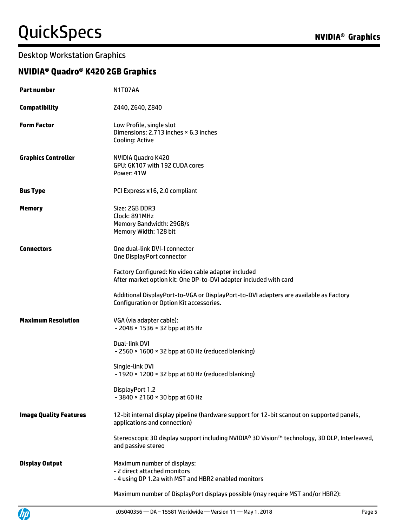### Desktop Workstation Graphics

### **NVIDIA® Quadro® K420 2GB Graphics**

| <b>Part number</b>            | N1T07AA                                                                                                                           |
|-------------------------------|-----------------------------------------------------------------------------------------------------------------------------------|
| <b>Compatibility</b>          | Z440, Z640, Z840                                                                                                                  |
| <b>Form Factor</b>            | Low Profile, single slot<br>Dimensions: 2.713 inches × 6.3 inches<br>Cooling: Active                                              |
| <b>Graphics Controller</b>    | NVIDIA Quadro K420<br>GPU: GK107 with 192 CUDA cores<br>Power: 41W                                                                |
| <b>Bus Type</b>               | PCI Express x16, 2.0 compliant                                                                                                    |
| <b>Memory</b>                 | Size: 2GB DDR3<br>Clock: 891MHz<br>Memory Bandwidth: 29GB/s<br>Memory Width: 128 bit                                              |
| <b>Connectors</b>             | One dual-link DVI-I connector<br>One DisplayPort connector                                                                        |
|                               | Factory Configured: No video cable adapter included<br>After market option kit: One DP-to-DVI adapter included with card          |
|                               | Additional DisplayPort-to-VGA or DisplayPort-to-DVI adapters are available as Factory<br>Configuration or Option Kit accessories. |
| <b>Maximum Resolution</b>     | VGA (via adapter cable):<br>- 2048 × 1536 × 32 bpp at 85 Hz                                                                       |
|                               | Dual-link DVI<br>- 2560 × 1600 × 32 bpp at 60 Hz (reduced blanking)                                                               |
|                               | Single-link DVI<br>- 1920 × 1200 × 32 bpp at 60 Hz (reduced blanking)                                                             |
|                               | DisplayPort 1.2<br>- 3840 × 2160 × 30 bpp at 60 Hz                                                                                |
| <b>Image Quality Features</b> | 12-bit internal display pipeline (hardware support for 12-bit scanout on supported panels,<br>applications and connection)        |
|                               | Stereoscopic 3D display support including NVIDIA® 3D Vision™ technology, 3D DLP, Interleaved,<br>and passive stereo               |
| <b>Display Output</b>         | Maximum number of displays:<br>- 2 direct attached monitors<br>- 4 using DP 1.2a with MST and HBR2 enabled monitors               |
|                               | Maximum number of DisplayPort displays possible (may require MST and/or HBR2):                                                    |

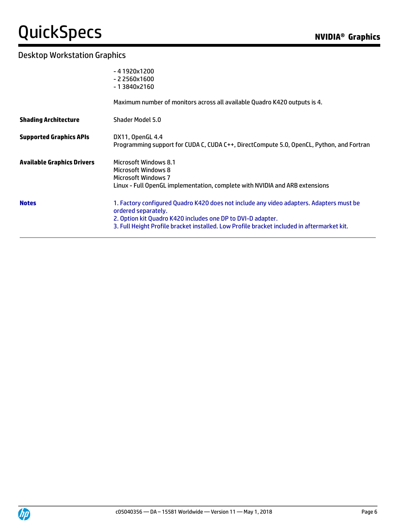|                                   | $-41920x1200$<br>$-22560x1600$<br>$-13840x2160$                                                                                                                                                                                                                             |
|-----------------------------------|-----------------------------------------------------------------------------------------------------------------------------------------------------------------------------------------------------------------------------------------------------------------------------|
|                                   | Maximum number of monitors across all available Quadro K420 outputs is 4.                                                                                                                                                                                                   |
| <b>Shading Architecture</b>       | Shader Model 5.0                                                                                                                                                                                                                                                            |
| <b>Supported Graphics APIs</b>    | DX11, OpenGL 4.4<br>Programming support for CUDA C, CUDA C++, DirectCompute 5.0, OpenCL, Python, and Fortran                                                                                                                                                                |
| <b>Available Graphics Drivers</b> | Microsoft Windows 8.1<br>Microsoft Windows 8<br><b>Microsoft Windows 7</b><br>Linux - Full OpenGL implementation, complete with NVIDIA and ARB extensions                                                                                                                   |
| <b>Notes</b>                      | 1. Factory configured Quadro K420 does not include any video adapters. Adapters must be<br>ordered separately.<br>2. Option kit Quadro K420 includes one DP to DVI-D adapter.<br>3. Full Height Profile bracket installed. Low Profile bracket included in aftermarket kit. |

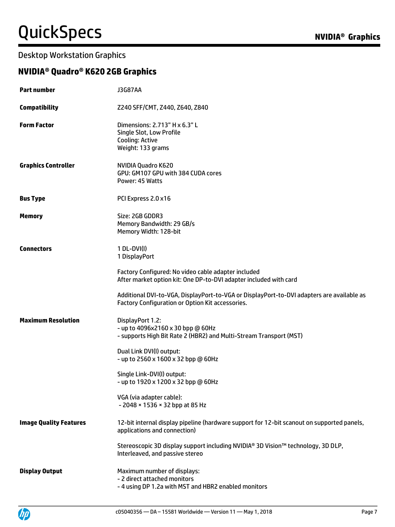### Desktop Workstation Graphics

### **NVIDIA® Quadro® K620 2GB Graphics**

| <b>Part number</b>            | <b>J3G87AA</b>                                                                                                                                |
|-------------------------------|-----------------------------------------------------------------------------------------------------------------------------------------------|
| <b>Compatibility</b>          | Z240 SFF/CMT, Z440, Z640, Z840                                                                                                                |
| <b>Form Factor</b>            | Dimensions: 2.713" H x 6.3" L<br>Single Slot, Low Profile<br>Cooling: Active<br>Weight: 133 grams                                             |
| <b>Graphics Controller</b>    | NVIDIA Quadro K620<br>GPU: GM107 GPU with 384 CUDA cores<br>Power: 45 Watts                                                                   |
| <b>Bus Type</b>               | PCI Express 2.0 x16                                                                                                                           |
| <b>Memory</b>                 | Size: 2GB GDDR3<br>Memory Bandwidth: 29 GB/s<br>Memory Width: 128-bit                                                                         |
| <b>Connectors</b>             | $1 DL-DVI(I)$<br>1 DisplayPort                                                                                                                |
|                               | Factory Configured: No video cable adapter included<br>After market option kit: One DP-to-DVI adapter included with card                      |
|                               | Additional DVI-to-VGA, DisplayPort-to-VGA or DisplayPort-to-DVI adapters are available as<br>Factory Configuration or Option Kit accessories. |
| <b>Maximum Resolution</b>     | DisplayPort 1.2:<br>- up to 4096x2160 x 30 bpp @ 60Hz<br>- supports High Bit Rate 2 (HBR2) and Multi-Stream Transport (MST)                   |
|                               | Dual Link DVI(I) output:<br>- up to 2560 x 1600 x 32 bpp @ 60Hz                                                                               |
|                               | Single Link-DVI(I) output:<br>- up to 1920 x 1200 x 32 bpp @ 60Hz                                                                             |
|                               | VGA (via adapter cable):<br>- 2048 × 1536 × 32 bpp at 85 Hz                                                                                   |
| <b>Image Quality Features</b> | 12-bit internal display pipeline (hardware support for 12-bit scanout on supported panels,<br>applications and connection)                    |
|                               | Stereoscopic 3D display support including NVIDIA® 3D Vision™ technology, 3D DLP,<br>Interleaved, and passive stereo                           |
| <b>Display Output</b>         | Maximum number of displays:<br>- 2 direct attached monitors<br>- 4 using DP 1.2a with MST and HBR2 enabled monitors                           |

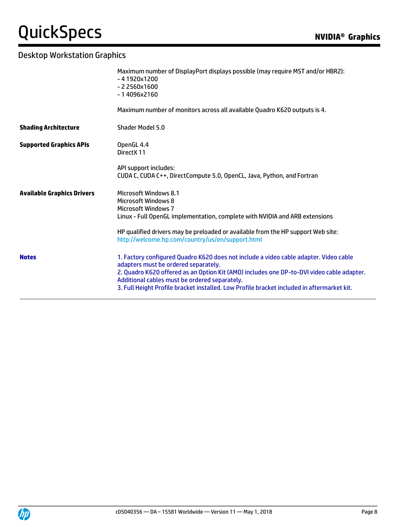# **QuickSpecs**

|                                   | Maximum number of DisplayPort displays possible (may require MST and/or HBR2):<br>$-41920x1200$<br>$-22560x1600$<br>-14096x2160                                                                                                                                                                                                                                           |
|-----------------------------------|---------------------------------------------------------------------------------------------------------------------------------------------------------------------------------------------------------------------------------------------------------------------------------------------------------------------------------------------------------------------------|
|                                   | Maximum number of monitors across all available Quadro K620 outputs is 4.                                                                                                                                                                                                                                                                                                 |
| <b>Shading Architecture</b>       | Shader Model 5.0                                                                                                                                                                                                                                                                                                                                                          |
| <b>Supported Graphics APIs</b>    | OpenGL 4.4<br>DirectX 11                                                                                                                                                                                                                                                                                                                                                  |
|                                   | API support includes:<br>CUDA C, CUDA C++, DirectCompute 5.0, OpenCL, Java, Python, and Fortran                                                                                                                                                                                                                                                                           |
| <b>Available Graphics Drivers</b> | Microsoft Windows 8.1<br>Microsoft Windows 8<br>Microsoft Windows 7<br>Linux - Full OpenGL implementation, complete with NVIDIA and ARB extensions                                                                                                                                                                                                                        |
|                                   | HP qualified drivers may be preloaded or available from the HP support Web site:<br>http://welcome.hp.com/country/us/en/support.html                                                                                                                                                                                                                                      |
| <b>Notes</b>                      | 1. Factory configured Quadro K620 does not include a video cable adapter. Video cable<br>adapters must be ordered separately.<br>2. Quadro K620 offered as an Option Kit (AMO) includes one DP-to-DVI video cable adapter.<br>Additional cables must be ordered separately.<br>3. Full Height Profile bracket installed. Low Profile bracket included in aftermarket kit. |

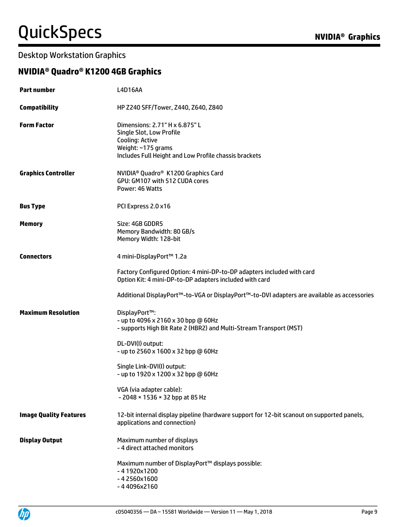### Desktop Workstation Graphics

### **NVIDIA® Quadro® K1200 4GB Graphics**

| <b>Part number</b>            | <b>L4D16AA</b>                                                                                                                                               |
|-------------------------------|--------------------------------------------------------------------------------------------------------------------------------------------------------------|
| <b>Compatibility</b>          | HP Z240 SFF/Tower, Z440, Z640, Z840                                                                                                                          |
| <b>Form Factor</b>            | Dimensions: 2.71" H x 6.875" L<br>Single Slot, Low Profile<br>Cooling: Active<br>Weight: ~175 grams<br>Includes Full Height and Low Profile chassis brackets |
| <b>Graphics Controller</b>    | NVIDIA <sup>®</sup> Quadro <sup>®</sup> K1200 Graphics Card<br>GPU: GM107 with 512 CUDA cores<br>Power: 46 Watts                                             |
| <b>Bus Type</b>               | PCI Express 2.0 x16                                                                                                                                          |
| <b>Memory</b>                 | Size: 4GB GDDR5<br>Memory Bandwidth: 80 GB/s<br>Memory Width: 128-bit                                                                                        |
| <b>Connectors</b>             | 4 mini-DisplayPort™ 1.2a                                                                                                                                     |
|                               | Factory Configured Option: 4 mini-DP-to-DP adapters included with card<br>Option Kit: 4 mini-DP-to-DP adapters included with card                            |
|                               | Additional DisplayPort™-to-VGA or DisplayPort™-to-DVI adapters are available as accessories                                                                  |
| <b>Maximum Resolution</b>     | DisplayPort™:<br>- up to 4096 x 2160 x 30 bpp @ 60Hz<br>- supports High Bit Rate 2 (HBR2) and Multi-Stream Transport (MST)                                   |
|                               | DL-DVI(I) output:<br>- up to 2560 x 1600 x 32 bpp @ 60Hz                                                                                                     |
|                               | Single Link-DVI(I) output:<br>- up to 1920 x 1200 x 32 bpp @ 60Hz                                                                                            |
|                               | VGA (via adapter cable):<br>- 2048 × 1536 × 32 bpp at 85 Hz                                                                                                  |
| <b>Image Quality Features</b> | 12-bit internal display pipeline (hardware support for 12-bit scanout on supported panels,<br>applications and connection)                                   |
| <b>Display Output</b>         | Maximum number of displays<br>- 4 direct attached monitors                                                                                                   |
|                               | Maximum number of DisplayPort™ displays possible:<br>$-41920x1200$<br>$-42560x1600$<br>-44096x2160                                                           |

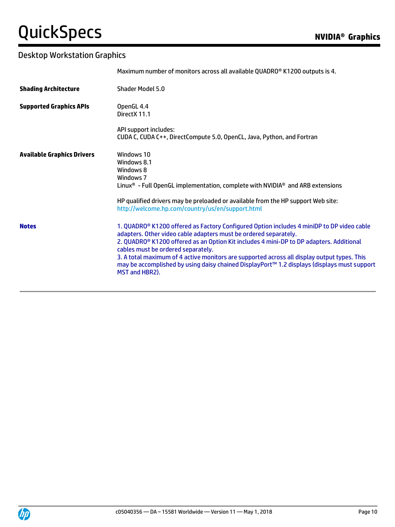|                                   | Maximum number of monitors across all available QUADRO® K1200 outputs is 4.                                                                                                                                                                                                                                                                                                                                                                                                                                                |
|-----------------------------------|----------------------------------------------------------------------------------------------------------------------------------------------------------------------------------------------------------------------------------------------------------------------------------------------------------------------------------------------------------------------------------------------------------------------------------------------------------------------------------------------------------------------------|
| <b>Shading Architecture</b>       | Shader Model 5.0                                                                                                                                                                                                                                                                                                                                                                                                                                                                                                           |
| <b>Supported Graphics APIs</b>    | OpenGL 4.4<br>DirectX 11.1                                                                                                                                                                                                                                                                                                                                                                                                                                                                                                 |
|                                   | API support includes:<br>CUDA C, CUDA C++, DirectCompute 5.0, OpenCL, Java, Python, and Fortran                                                                                                                                                                                                                                                                                                                                                                                                                            |
| <b>Available Graphics Drivers</b> | Windows 10<br>Windows 8.1<br>Windows 8<br>Windows 7<br>Linux <sup>®</sup> - Full OpenGL implementation, complete with NVIDIA <sup>®</sup> and ARB extensions<br>HP qualified drivers may be preloaded or available from the HP support Web site:<br>http://welcome.hp.com/country/us/en/support.html                                                                                                                                                                                                                       |
| <b>Notes</b>                      | 1. QUADRO® K1200 offered as Factory Configured Option includes 4 miniDP to DP video cable<br>adapters. Other video cable adapters must be ordered separately.<br>2. QUADRO <sup>®</sup> K1200 offered as an Option Kit includes 4 mini-DP to DP adapters. Additional<br>cables must be ordered separately.<br>3. A total maximum of 4 active monitors are supported across all display output types. This<br>may be accomplished by using daisy chained DisplayPort™ 1.2 displays (displays must support<br>MST and HBR2). |

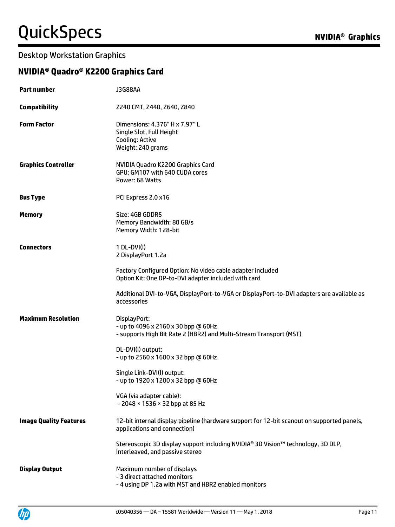### Desktop Workstation Graphics

### **NVIDIA® Quadro® K2200 Graphics Card**

| <b>Part number</b>            | <b>J3G88AA</b>                                                                                                             |
|-------------------------------|----------------------------------------------------------------------------------------------------------------------------|
| <b>Compatibility</b>          | Z240 CMT, Z440, Z640, Z840                                                                                                 |
| <b>Form Factor</b>            | Dimensions: 4.376" H x 7.97" L<br>Single Slot, Full Height<br><b>Cooling: Active</b><br>Weight: 240 grams                  |
| <b>Graphics Controller</b>    | NVIDIA Quadro K2200 Graphics Card<br>GPU: GM107 with 640 CUDA cores<br>Power: 68 Watts                                     |
| <b>Bus Type</b>               | PCI Express 2.0 x16                                                                                                        |
| <b>Memory</b>                 | Size: 4GB GDDR5<br>Memory Bandwidth: 80 GB/s<br>Memory Width: 128-bit                                                      |
| <b>Connectors</b>             | $1 DL-DVI(I)$<br>2 DisplayPort 1.2a                                                                                        |
|                               | Factory Configured Option: No video cable adapter included<br>Option Kit: One DP-to-DVI adapter included with card         |
|                               | Additional DVI-to-VGA, DisplayPort-to-VGA or DisplayPort-to-DVI adapters are available as<br>accessories                   |
| <b>Maximum Resolution</b>     | DisplayPort:<br>- up to 4096 x 2160 x 30 bpp @ 60Hz<br>- supports High Bit Rate 2 (HBR2) and Multi-Stream Transport (MST)  |
|                               | DL-DVI(I) output:<br>- up to 2560 x 1600 x 32 bpp @ 60Hz                                                                   |
|                               | Single Link-DVI(I) output:<br>- up to 1920 x 1200 x 32 bpp @ 60Hz                                                          |
|                               | VGA (via adapter cable):<br>- 2048 × 1536 × 32 bpp at 85 Hz                                                                |
| <b>Image Quality Features</b> | 12-bit internal display pipeline (hardware support for 12-bit scanout on supported panels,<br>applications and connection) |
|                               | Stereoscopic 3D display support including NVIDIA® 3D Vision™ technology, 3D DLP,<br>Interleaved, and passive stereo        |
| <b>Display Output</b>         | Maximum number of displays<br>- 3 direct attached monitors<br>- 4 using DP 1.2a with MST and HBR2 enabled monitors         |

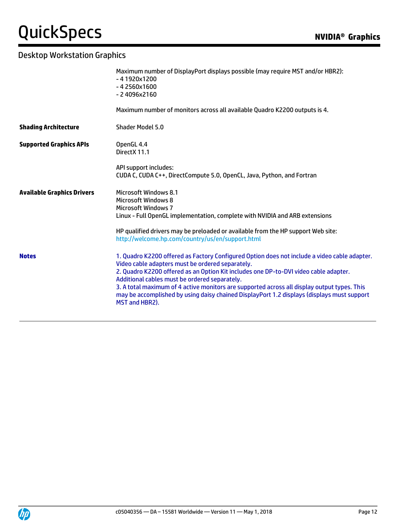|                                   | Maximum number of DisplayPort displays possible (may require MST and/or HBR2):<br>$-41920x1200$<br>$-42560x1600$<br>$-24096x2160$                                                                                                                                                                                                                                                                                                                                                                        |
|-----------------------------------|----------------------------------------------------------------------------------------------------------------------------------------------------------------------------------------------------------------------------------------------------------------------------------------------------------------------------------------------------------------------------------------------------------------------------------------------------------------------------------------------------------|
|                                   | Maximum number of monitors across all available Quadro K2200 outputs is 4.                                                                                                                                                                                                                                                                                                                                                                                                                               |
| <b>Shading Architecture</b>       | <b>Shader Model 5.0</b>                                                                                                                                                                                                                                                                                                                                                                                                                                                                                  |
| <b>Supported Graphics APIs</b>    | OpenGL 4.4<br>Direct X 11.1                                                                                                                                                                                                                                                                                                                                                                                                                                                                              |
|                                   | API support includes:<br>CUDA C, CUDA C++, DirectCompute 5.0, OpenCL, Java, Python, and Fortran                                                                                                                                                                                                                                                                                                                                                                                                          |
| <b>Available Graphics Drivers</b> | Microsoft Windows 8.1<br><b>Microsoft Windows 8</b><br><b>Microsoft Windows 7</b><br>Linux - Full OpenGL implementation, complete with NVIDIA and ARB extensions                                                                                                                                                                                                                                                                                                                                         |
|                                   | HP qualified drivers may be preloaded or available from the HP support Web site:<br>http://welcome.hp.com/country/us/en/support.html                                                                                                                                                                                                                                                                                                                                                                     |
| <b>Notes</b>                      | 1. Quadro K2200 offered as Factory Configured Option does not include a video cable adapter.<br>Video cable adapters must be ordered separately.<br>2. Quadro K2200 offered as an Option Kit includes one DP-to-DVI video cable adapter.<br>Additional cables must be ordered separately.<br>3. A total maximum of 4 active monitors are supported across all display output types. This<br>may be accomplished by using daisy chained DisplayPort 1.2 displays (displays must support<br>MST and HBR2). |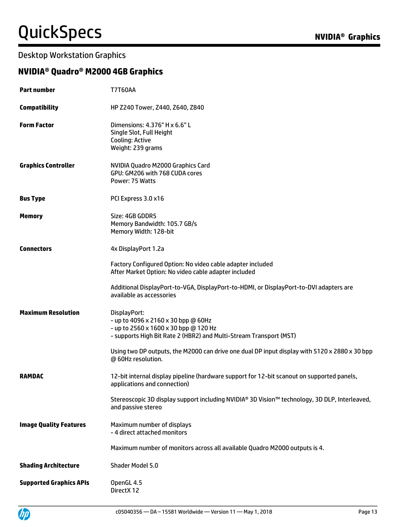### Desktop Workstation Graphics

### **NVIDIA® Quadro® M2000 4GB Graphics**

| <b>Part number</b>             | <b>T7T60AA</b>                                                                                                                                                     |
|--------------------------------|--------------------------------------------------------------------------------------------------------------------------------------------------------------------|
| <b>Compatibility</b>           | HP Z240 Tower, Z440, Z640, Z840                                                                                                                                    |
| <b>Form Factor</b>             | Dimensions: 4.376" H x 6.6" L<br>Single Slot, Full Height<br>Cooling: Active<br>Weight: 239 grams                                                                  |
| <b>Graphics Controller</b>     | NVIDIA Quadro M2000 Graphics Card<br>GPU: GM206 with 768 CUDA cores<br>Power: 75 Watts                                                                             |
| <b>Bus Type</b>                | PCI Express 3.0 x16                                                                                                                                                |
| <b>Memory</b>                  | Size: 4GB GDDR5<br>Memory Bandwidth: 105.7 GB/s<br>Memory Width: 128-bit                                                                                           |
| <b>Connectors</b>              | 4x DisplayPort 1.2a                                                                                                                                                |
|                                | Factory Configured Option: No video cable adapter included<br>After Market Option: No video cable adapter included                                                 |
|                                | Additional DisplayPort-to-VGA, DisplayPort-to-HDMI, or DisplayPort-to-DVI adapters are<br>available as accessories                                                 |
| <b>Maximum Resolution</b>      | DisplayPort:<br>- up to 4096 x 2160 x 30 bpp @ 60Hz<br>- up to 2560 x 1600 x 30 bpp @ 120 Hz<br>- supports High Bit Rate 2 (HBR2) and Multi-Stream Transport (MST) |
|                                | Using two DP outputs, the M2000 can drive one dual DP input display with 5120 x 2880 x 30 bpp<br>@ 60Hz resolution.                                                |
| <b>RAMDAC</b>                  | 12-bit internal display pipeline (hardware support for 12-bit scanout on supported panels,<br>applications and connection)                                         |
|                                | Stereoscopic 3D display support including NVIDIA® 3D Vision™ technology, 3D DLP, Interleaved,<br>and passive stereo                                                |
| <b>Image Quality Features</b>  | Maximum number of displays<br>- 4 direct attached monitors                                                                                                         |
|                                | Maximum number of monitors across all available Quadro M2000 outputs is 4.                                                                                         |
| <b>Shading Architecture</b>    | Shader Model 5.0                                                                                                                                                   |
| <b>Supported Graphics APIs</b> | OpenGL 4.5<br>DirectX 12                                                                                                                                           |

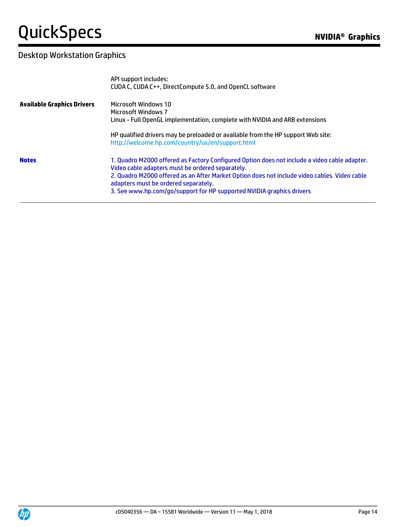|                                   | API support includes:<br>CUDA C, CUDA C++, DirectCompute 5.0, and OpenCL software                                                                                                                                                                                                                                                                                 |
|-----------------------------------|-------------------------------------------------------------------------------------------------------------------------------------------------------------------------------------------------------------------------------------------------------------------------------------------------------------------------------------------------------------------|
| <b>Available Graphics Drivers</b> | Microsoft Windows 10<br>Microsoft Windows 7<br>Linux - Full OpenGL implementation, complete with NVIDIA and ARB extensions                                                                                                                                                                                                                                        |
|                                   | HP qualified drivers may be preloaded or available from the HP support Web site:<br>http://welcome.hp.com/country/us/en/support.html                                                                                                                                                                                                                              |
| <b>Notes</b>                      | 1. Quadro M2000 offered as Factory Configured Option does not include a video cable adapter.<br>Video cable adapters must be ordered separately.<br>2. Quadro M2000 offered as an After Market Option does not include video cables. Video cable<br>adapters must be ordered separately.<br>3. See www.hp.com/go/support for HP supported NVIDIA graphics drivers |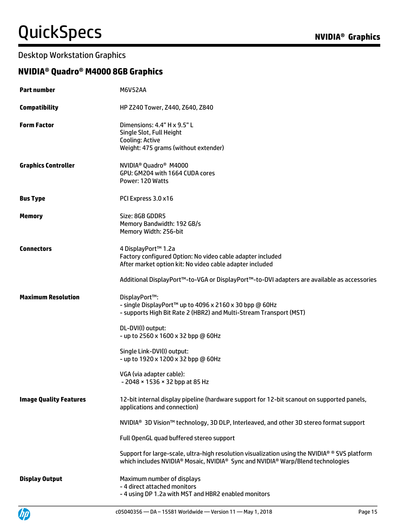### Desktop Workstation Graphics

### **NVIDIA® Quadro® M4000 8GB Graphics**

| <b>Part number</b>            | <b>M6V52AA</b>                                                                                                                                                                   |
|-------------------------------|----------------------------------------------------------------------------------------------------------------------------------------------------------------------------------|
| <b>Compatibility</b>          | HP Z240 Tower, Z440, Z640, Z840                                                                                                                                                  |
| <b>Form Factor</b>            | Dimensions: 4.4" H x 9.5" L<br>Single Slot, Full Height<br>Cooling: Active<br>Weight: 475 grams (without extender)                                                               |
| <b>Graphics Controller</b>    | NVIDIA <sup>®</sup> Quadro <sup>®</sup> M4000<br>GPU: GM204 with 1664 CUDA cores<br>Power: 120 Watts                                                                             |
| <b>Bus Type</b>               | PCI Express 3.0 x16                                                                                                                                                              |
| <b>Memory</b>                 | Size: 8GB GDDR5<br>Memory Bandwidth: 192 GB/s<br>Memory Width: 256-bit                                                                                                           |
| <b>Connectors</b>             | 4 DisplayPort™ 1.2a<br>Factory configured Option: No video cable adapter included<br>After market option kit: No video cable adapter included                                    |
|                               | Additional DisplayPort™-to-VGA or DisplayPort™-to-DVI adapters are available as accessories                                                                                      |
| <b>Maximum Resolution</b>     | DisplayPort™:<br>- single DisplayPort™ up to 4096 x 2160 x 30 bpp @ 60Hz<br>- supports High Bit Rate 2 (HBR2) and Multi-Stream Transport (MST)                                   |
|                               | DL-DVI(I) output:<br>- up to 2560 x 1600 x 32 bpp @ 60Hz                                                                                                                         |
|                               | Single Link-DVI(I) output:<br>- up to 1920 x 1200 x 32 bpp @ 60Hz                                                                                                                |
|                               | VGA (via adapter cable):<br>- 2048 × 1536 × 32 bpp at 85 Hz                                                                                                                      |
| <b>Image Quality Features</b> | 12-bit internal display pipeline (hardware support for 12-bit scanout on supported panels,<br>applications and connection)                                                       |
|                               | NVIDIA <sup>®</sup> 3D Vision <sup>™</sup> technology, 3D DLP, Interleaved, and other 3D stereo format support                                                                   |
|                               | Full OpenGL quad buffered stereo support                                                                                                                                         |
|                               | Support for large-scale, ultra-high resolution visualization using the NVIDIA® ® SVS platform<br>which includes NVIDIA® Mosaic, NVIDIA® Sync and NVIDIA® Warp/Blend technologies |
| <b>Display Output</b>         | Maximum number of displays<br>- 4 direct attached monitors<br>- 4 using DP 1.2a with MST and HBR2 enabled monitors                                                               |

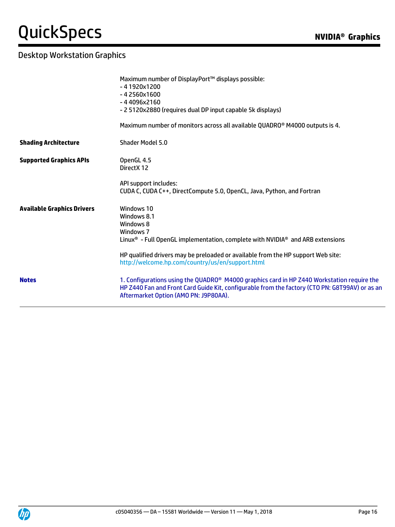|                                   | Maximum number of DisplayPort™ displays possible:<br>$-41920x1200$<br>$-42560x1600$<br>$-44096x2160$<br>- 2 5120x2880 (requires dual DP input capable 5k displays)<br>Maximum number of monitors across all available QUADRO® M4000 outputs is 4. |
|-----------------------------------|---------------------------------------------------------------------------------------------------------------------------------------------------------------------------------------------------------------------------------------------------|
| <b>Shading Architecture</b>       | Shader Model 5.0                                                                                                                                                                                                                                  |
| <b>Supported Graphics APIs</b>    | OpenGL 4.5<br>Direct X 12                                                                                                                                                                                                                         |
|                                   | API support includes:<br>CUDA C, CUDA C++, DirectCompute 5.0, OpenCL, Java, Python, and Fortran                                                                                                                                                   |
| <b>Available Graphics Drivers</b> | Windows 10<br>Windows 8.1<br>Windows 8<br>Windows 7<br>Linux <sup>®</sup> - Full OpenGL implementation, complete with NVIDIA <sup>®</sup> and ARB extensions                                                                                      |
|                                   | HP qualified drivers may be preloaded or available from the HP support Web site:<br>http://welcome.hp.com/country/us/en/support.html                                                                                                              |
| <b>Notes</b>                      | 1. Configurations using the QUADRO <sup>®</sup> M4000 graphics card in HP Z440 Workstation require the<br>HP Z440 Fan and Front Card Guide Kit, configurable from the factory (CTO PN: G8T99AV) or as an<br>Aftermarket Option (AMO PN: J9P80AA). |
|                                   |                                                                                                                                                                                                                                                   |

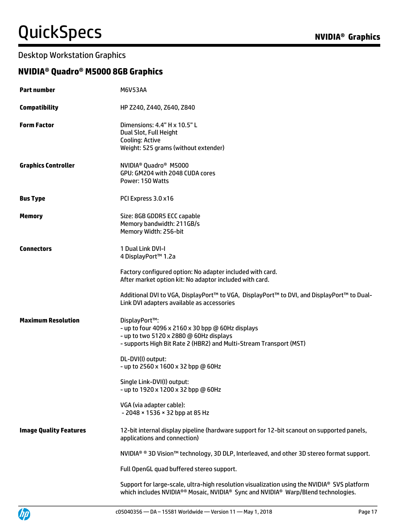### Desktop Workstation Graphics

### **NVIDIA® Quadro® M5000 8GB Graphics**

| <b>Part number</b>            | <b>M6V53AA</b>                                                                                                                                                                      |
|-------------------------------|-------------------------------------------------------------------------------------------------------------------------------------------------------------------------------------|
| <b>Compatibility</b>          | HP Z240, Z440, Z640, Z840                                                                                                                                                           |
| <b>Form Factor</b>            | Dimensions: 4.4" H x 10.5" L<br>Dual Slot, Full Height<br>Cooling: Active<br>Weight: 525 grams (without extender)                                                                   |
| <b>Graphics Controller</b>    | NVIDIA <sup>®</sup> Quadro <sup>®</sup> M5000<br>GPU: GM204 with 2048 CUDA cores<br>Power: 150 Watts                                                                                |
| <b>Bus Type</b>               | PCI Express 3.0 x16                                                                                                                                                                 |
| <b>Memory</b>                 | Size: 8GB GDDR5 ECC capable<br>Memory bandwidth: 211GB/s<br>Memory Width: 256-bit                                                                                                   |
| <b>Connectors</b>             | 1 Dual Link DVI-I<br>4 DisplayPort™ 1.2a                                                                                                                                            |
|                               | Factory configured option: No adapter included with card.<br>After market option kit: No adaptor included with card.                                                                |
|                               | Additional DVI to VGA, DisplayPort™ to VGA, DisplayPort™ to DVI, and DisplayPort™ to Dual-<br>Link DVI adapters available as accessories                                            |
| <b>Maximum Resolution</b>     | DisplayPort™:<br>- up to four 4096 x 2160 x 30 bpp @ 60Hz displays<br>- up to two 5120 x 2880 @ 60Hz displays<br>- supports High Bit Rate 2 (HBR2) and Multi-Stream Transport (MST) |
|                               | DL-DVI(I) output:<br>- up to 2560 x 1600 x 32 bpp @ 60Hz                                                                                                                            |
|                               | Single Link-DVI(I) output:<br>- up to 1920 x 1200 x 32 bpp @ 60Hz                                                                                                                   |
|                               | VGA (via adapter cable):<br>- 2048 × 1536 × 32 bpp at 85 Hz                                                                                                                         |
| <b>Image Quality Features</b> | 12-bit internal display pipeline (hardware support for 12-bit scanout on supported panels,<br>applications and connection)                                                          |
|                               | NVIDIA <sup>®</sup> ® 3D Vision™ technology, 3D DLP, Interleaved, and other 3D stereo format support.                                                                               |
|                               | Full OpenGL quad buffered stereo support.                                                                                                                                           |
|                               | Support for large-scale, ultra-high resolution visualization using the NVIDIA® SVS platform<br>which includes NVIDIA®® Mosaic, NVIDIA® Sync and NVIDIA® Warp/Blend technologies.    |

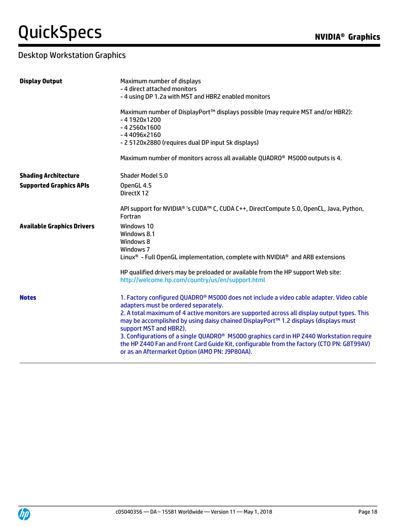| <b>Display Output</b>             | Maximum number of displays                                                                                                                                                                                                              |
|-----------------------------------|-----------------------------------------------------------------------------------------------------------------------------------------------------------------------------------------------------------------------------------------|
|                                   | - 4 direct attached monitors                                                                                                                                                                                                            |
|                                   | - 4 using DP 1.2a with MST and HBR2 enabled monitors                                                                                                                                                                                    |
|                                   | Maximum number of DisplayPort™ displays possible (may require MST and/or HBR2):<br>$-41920x1200$                                                                                                                                        |
|                                   | $-42560x1600$                                                                                                                                                                                                                           |
|                                   | $-44096x2160$                                                                                                                                                                                                                           |
|                                   | - 2 5120x2880 (requires dual DP input 5k displays)                                                                                                                                                                                      |
|                                   | Maximum number of monitors across all available QUADRO <sup>®</sup> M5000 outputs is 4.                                                                                                                                                 |
| <b>Shading Architecture</b>       | Shader Model 5.0                                                                                                                                                                                                                        |
| <b>Supported Graphics APIs</b>    | OpenGL 4.5<br>DirectX 12                                                                                                                                                                                                                |
|                                   | API support for NVIDIA® 's CUDA™ C, CUDA C++, DirectCompute 5.0, OpenCL, Java, Python,<br>Fortran                                                                                                                                       |
| <b>Available Graphics Drivers</b> | Windows 10                                                                                                                                                                                                                              |
|                                   | Windows 8.1                                                                                                                                                                                                                             |
|                                   | Windows 8                                                                                                                                                                                                                               |
|                                   | Windows 7<br>Linux <sup>®</sup> - Full OpenGL implementation, complete with NVIDIA <sup>®</sup> and ARB extensions                                                                                                                      |
|                                   | HP qualified drivers may be preloaded or available from the HP support Web site:<br>http://welcome.hp.com/country/us/en/support.html                                                                                                    |
| <b>Notes</b>                      | 1. Factory configured QUADRO® M5000 does not include a video cable adapter. Video cable<br>adapters must be ordered separately.                                                                                                         |
|                                   | 2. A total maximum of 4 active monitors are supported across all display output types. This<br>may be accomplished by using daisy chained DisplayPort™ 1.2 displays (displays must<br>support MST and HBR2).                            |
|                                   | 3. Configurations of a single QUADRO® M5000 graphics card in HP Z440 Workstation require<br>the HP Z440 Fan and Front Card Guide Kit, configurable from the factory (CTO PN: G8T99AV)<br>or as an Aftermarket Option (AMO PN: J9P80AA). |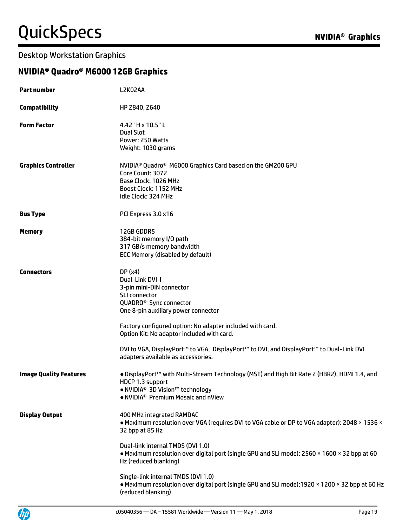#### Desktop Workstation Graphics

### **NVIDIA® Quadro® M6000 12GB Graphics**

| <b>Part number</b>            | L2K02AA                                                                                                                                                                                                                                                                                                                                                                                                |
|-------------------------------|--------------------------------------------------------------------------------------------------------------------------------------------------------------------------------------------------------------------------------------------------------------------------------------------------------------------------------------------------------------------------------------------------------|
| <b>Compatibility</b>          | HP Z840, Z640                                                                                                                                                                                                                                                                                                                                                                                          |
| <b>Form Factor</b>            | 4.42" H x 10.5" L<br><b>Dual Slot</b><br>Power: 250 Watts<br>Weight: 1030 grams                                                                                                                                                                                                                                                                                                                        |
| <b>Graphics Controller</b>    | NVIDIA <sup>®</sup> Quadro <sup>®</sup> M6000 Graphics Card based on the GM200 GPU<br>Core Count: 3072<br>Base Clock: 1026 MHz<br>Boost Clock: 1152 MHz<br>Idle Clock: 324 MHz                                                                                                                                                                                                                         |
| <b>Bus Type</b>               | PCI Express 3.0 x16                                                                                                                                                                                                                                                                                                                                                                                    |
| <b>Memory</b>                 | 12GB GDDR5<br>384-bit memory I/O path<br>317 GB/s memory bandwidth<br><b>ECC Memory (disabled by default)</b>                                                                                                                                                                                                                                                                                          |
| <b>Connectors</b>             | DP(x4)<br>Dual-Link DVI-I<br>3-pin mini-DIN connector<br><b>SLI</b> connector<br>QUADRO <sup>®</sup> Sync connector<br>One 8-pin auxiliary power connector<br>Factory configured option: No adapter included with card.<br>Option Kit: No adaptor included with card.<br>DVI to VGA, DisplayPort™ to VGA, DisplayPort™ to DVI, and DisplayPort™ to Dual-Link DVI<br>adapters available as accessories. |
| <b>Image Quality Features</b> | • DisplayPort™ with Multi-Stream Technology (MST) and High Bit Rate 2 (HBR2), HDMI 1.4, and<br>HDCP 1.3 support<br>● NVIDIA <sup>®</sup> 3D Vision <sup>™</sup> technology<br>. NVIDIA <sup>®</sup> Premium Mosaic and nView                                                                                                                                                                           |
| <b>Display Output</b>         | 400 MHz integrated RAMDAC<br>• Maximum resolution over VGA (requires DVI to VGA cable or DP to VGA adapter): 2048 × 1536 ×<br>32 bpp at 85 Hz                                                                                                                                                                                                                                                          |
|                               | Dual-link internal TMDS (DVI 1.0)<br>. Maximum resolution over digital port (single GPU and SLI mode): 2560 x 1600 x 32 bpp at 60<br>Hz (reduced blanking)                                                                                                                                                                                                                                             |
|                               | Single-link internal TMDS (DVI 1.0)<br>• Maximum resolution over digital port (single GPU and SLI mode):1920 × 1200 × 32 bpp at 60 Hz<br>(reduced blanking)                                                                                                                                                                                                                                            |

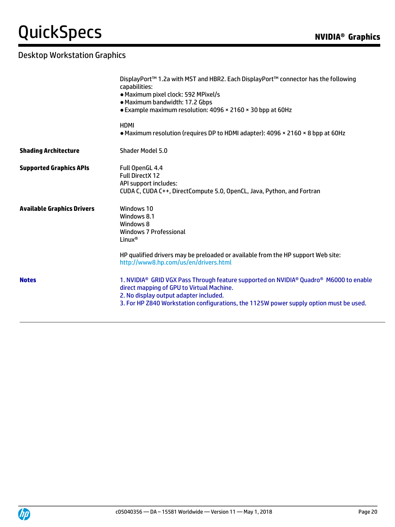|                                   | DisplayPort™ 1.2a with MST and HBR2. Each DisplayPort™ connector has the following<br>capabilities:<br>· Maximum pixel clock: 592 MPixel/s<br>· Maximum bandwidth: 17.2 Gbps<br>• Example maximum resolution: 4096 × 2160 × 30 bpp at 60Hz                                                                 |
|-----------------------------------|------------------------------------------------------------------------------------------------------------------------------------------------------------------------------------------------------------------------------------------------------------------------------------------------------------|
|                                   | <b>HDMI</b><br>• Maximum resolution (requires DP to HDMI adapter): 4096 × 2160 × 8 bpp at 60Hz                                                                                                                                                                                                             |
| <b>Shading Architecture</b>       | Shader Model 5.0                                                                                                                                                                                                                                                                                           |
| <b>Supported Graphics APIs</b>    | Full OpenGL 4.4<br><b>Full DirectX 12</b><br>API support includes:<br>CUDA C, CUDA C++, DirectCompute 5.0, OpenCL, Java, Python, and Fortran                                                                                                                                                               |
| <b>Available Graphics Drivers</b> | Windows 10<br>Windows 8.1<br>Windows 8<br>Windows 7 Professional<br>Linux <sup>®</sup>                                                                                                                                                                                                                     |
|                                   | HP qualified drivers may be preloaded or available from the HP support Web site:<br>http://www8.hp.com/us/en/drivers.html                                                                                                                                                                                  |
| <b>Notes</b>                      | 1. NVIDIA <sup>®</sup> GRID VGX Pass Through feature supported on NVIDIA <sup>®</sup> Quadro <sup>®</sup> M6000 to enable<br>direct mapping of GPU to Virtual Machine.<br>2. No display output adapter included.<br>3. For HP Z840 Workstation configurations, the 1125W power supply option must be used. |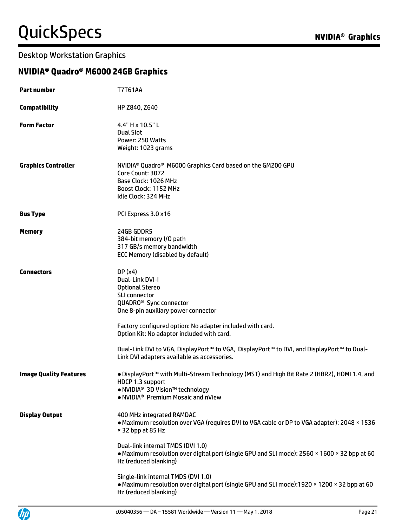#### Desktop Workstation Graphics

### **NVIDIA® Quadro® M6000 24GB Graphics**

| <b>Part number</b>            | <b>T7T61AA</b>                                                                                                                                                                                                                                                                                                                                                                                           |
|-------------------------------|----------------------------------------------------------------------------------------------------------------------------------------------------------------------------------------------------------------------------------------------------------------------------------------------------------------------------------------------------------------------------------------------------------|
| <b>Compatibility</b>          | HP Z840, Z640                                                                                                                                                                                                                                                                                                                                                                                            |
| <b>Form Factor</b>            | 4.4" H x 10.5" L<br><b>Dual Slot</b><br>Power: 250 Watts<br>Weight: 1023 grams                                                                                                                                                                                                                                                                                                                           |
| <b>Graphics Controller</b>    | NVIDIA <sup>®</sup> Quadro <sup>®</sup> M6000 Graphics Card based on the GM200 GPU<br>Core Count: 3072<br>Base Clock: 1026 MHz<br>Boost Clock: 1152 MHz<br>Idle Clock: 324 MHz                                                                                                                                                                                                                           |
| <b>Bus Type</b>               | PCI Express 3.0 x16                                                                                                                                                                                                                                                                                                                                                                                      |
| <b>Memory</b>                 | 24GB GDDR5<br>384-bit memory I/O path<br>317 GB/s memory bandwidth<br>ECC Memory (disabled by default)                                                                                                                                                                                                                                                                                                   |
| <b>Connectors</b>             | DP(x4)<br>Dual-Link DVI-I<br><b>Optional Stereo</b><br>SLI connector<br>QUADRO <sup>®</sup> Sync connector<br>One 8-pin auxiliary power connector<br>Factory configured option: No adapter included with card.<br>Option Kit: No adaptor included with card.<br>Dual-Link DVI to VGA, DisplayPort™ to VGA, DisplayPort™ to DVI, and DisplayPort™ to Dual-<br>Link DVI adapters available as accessories. |
| <b>Image Quality Features</b> | . DisplayPort™ with Multi-Stream Technology (MST) and High Bit Rate 2 (HBR2), HDMI 1.4, and<br>HDCP 1.3 support<br>● NVIDIA <sup>®</sup> 3D Vision <sup>™</sup> technology<br>• NVIDIA <sup>®</sup> Premium Mosaic and nView                                                                                                                                                                             |
| <b>Display Output</b>         | 400 MHz integrated RAMDAC<br>. Maximum resolution over VGA (requires DVI to VGA cable or DP to VGA adapter): 2048 x 1536<br>× 32 bpp at 85 Hz                                                                                                                                                                                                                                                            |
|                               | Dual-link internal TMDS (DVI 1.0)<br>. Maximum resolution over digital port (single GPU and SLI mode): 2560 x 1600 x 32 bpp at 60<br>Hz (reduced blanking)                                                                                                                                                                                                                                               |
|                               | Single-link internal TMDS (DVI 1.0)<br>• Maximum resolution over digital port (single GPU and SLI mode):1920 × 1200 × 32 bpp at 60<br>Hz (reduced blanking)                                                                                                                                                                                                                                              |

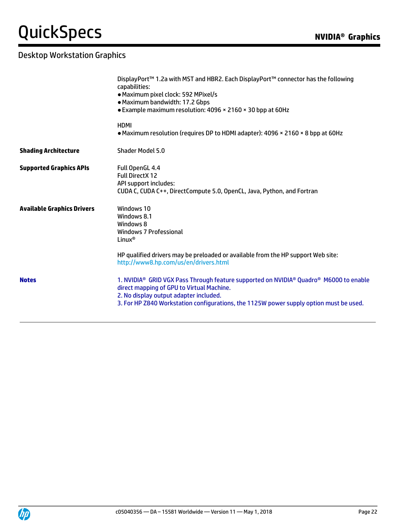|                                   | DisplayPort™ 1.2a with MST and HBR2. Each DisplayPort™ connector has the following<br>capabilities:<br>· Maximum pixel clock: 592 MPixel/s<br>• Maximum bandwidth: 17.2 Gbps<br>• Example maximum resolution: 4096 × 2160 × 30 bpp at 60Hz                             |
|-----------------------------------|------------------------------------------------------------------------------------------------------------------------------------------------------------------------------------------------------------------------------------------------------------------------|
|                                   | <b>HDMI</b><br>• Maximum resolution (requires DP to HDMI adapter): 4096 × 2160 × 8 bpp at 60Hz                                                                                                                                                                         |
| <b>Shading Architecture</b>       | Shader Model 5.0                                                                                                                                                                                                                                                       |
| <b>Supported Graphics APIs</b>    | Full OpenGL 4.4<br><b>Full DirectX 12</b><br>API support includes:<br>CUDA C, CUDA C++, DirectCompute 5.0, OpenCL, Java, Python, and Fortran                                                                                                                           |
| <b>Available Graphics Drivers</b> | Windows 10<br>Windows 8.1<br>Windows 8<br>Windows 7 Professional<br>Linux <sup>®</sup>                                                                                                                                                                                 |
|                                   | HP qualified drivers may be preloaded or available from the HP support Web site:<br>http://www8.hp.com/us/en/drivers.html                                                                                                                                              |
| <b>Notes</b>                      | 1. NVIDIA® GRID VGX Pass Through feature supported on NVIDIA® Quadro® M6000 to enable<br>direct mapping of GPU to Virtual Machine.<br>2. No display output adapter included.<br>3. For HP Z840 Workstation configurations, the 1125W power supply option must be used. |

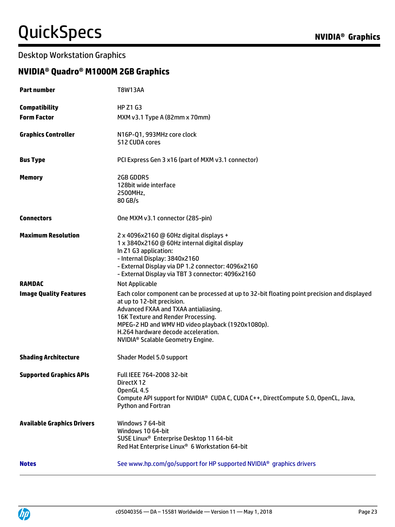### Desktop Workstation Graphics

### **NVIDIA® Quadro® M1000M 2GB Graphics**

| <b>Part number</b>                | <b>T8W13AA</b>                                                                                                                                                                                                                                                                                                                                        |
|-----------------------------------|-------------------------------------------------------------------------------------------------------------------------------------------------------------------------------------------------------------------------------------------------------------------------------------------------------------------------------------------------------|
| <b>Compatibility</b>              | <b>HP Z1 G3</b>                                                                                                                                                                                                                                                                                                                                       |
| <b>Form Factor</b>                | MXM v3.1 Type A (82mm x 70mm)                                                                                                                                                                                                                                                                                                                         |
| <b>Graphics Controller</b>        | N16P-Q1, 993MHz core clock<br>512 CUDA cores                                                                                                                                                                                                                                                                                                          |
| <b>Bus Type</b>                   | PCI Express Gen 3 x16 (part of MXM v3.1 connector)                                                                                                                                                                                                                                                                                                    |
| <b>Memory</b>                     | 2GB GDDR5<br>128bit wide interface<br>2500MHz,<br>80 GB/s                                                                                                                                                                                                                                                                                             |
| <b>Connectors</b>                 | One MXM v3.1 connector (285-pin)                                                                                                                                                                                                                                                                                                                      |
| <b>Maximum Resolution</b>         | 2 x 4096x2160 @ 60Hz digital displays +<br>1 x 3840x2160 @ 60Hz internal digital display<br>In Z1 G3 application:<br>- Internal Display: 3840x2160<br>- External Display via DP 1.2 connector: 4096x2160<br>- External Display via TBT 3 connector: 4096x2160                                                                                         |
| <b>RAMDAC</b>                     | Not Applicable                                                                                                                                                                                                                                                                                                                                        |
| <b>Image Quality Features</b>     | Each color component can be processed at up to 32-bit floating point precision and displayed<br>at up to 12-bit precision.<br>Advanced FXAA and TXAA antialiasing.<br>16K Texture and Render Processing.<br>MPEG-2 HD and WMV HD video playback (1920x1080p).<br>H.264 hardware decode acceleration.<br>NVIDIA <sup>®</sup> Scalable Geometry Engine. |
| <b>Shading Architecture</b>       | Shader Model 5.0 support                                                                                                                                                                                                                                                                                                                              |
| <b>Supported Graphics APIs</b>    | <b>Full IEEE 764-2008 32-bit</b><br>DirectX 12<br>OpenGL 4.5<br>Compute API support for NVIDIA® CUDA C, CUDA C++, DirectCompute 5.0, OpenCL, Java,<br>Python and Fortran                                                                                                                                                                              |
| <b>Available Graphics Drivers</b> | Windows 7 64-bit<br>Windows 10 64-bit<br>SUSE Linux <sup>®</sup> Enterprise Desktop 11 64-bit<br>Red Hat Enterprise Linux® 6 Workstation 64-bit                                                                                                                                                                                                       |
| <b>Notes</b>                      | See www.hp.com/go/support for HP supported NVIDIA <sup>®</sup> graphics drivers                                                                                                                                                                                                                                                                       |

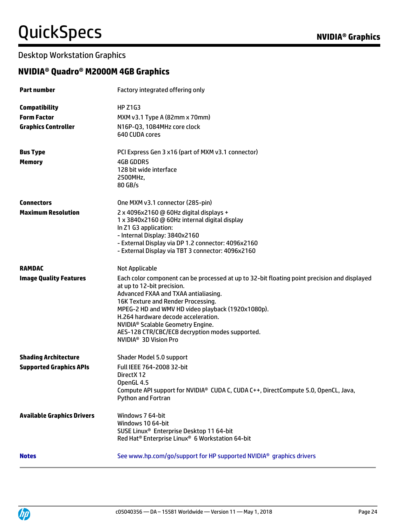### Desktop Workstation Graphics

### **NVIDIA® Quadro® M2000M 4GB Graphics**

| <b>Part number</b>                | Factory integrated offering only                                                                                                |
|-----------------------------------|---------------------------------------------------------------------------------------------------------------------------------|
| <b>Compatibility</b>              | <b>HP Z1G3</b>                                                                                                                  |
| <b>Form Factor</b>                | MXM v3.1 Type A (82mm x 70mm)                                                                                                   |
| <b>Graphics Controller</b>        | N16P-Q3, 1084MHz core clock<br>640 CUDA cores                                                                                   |
| <b>Bus Type</b>                   | PCI Express Gen 3 x16 (part of MXM v3.1 connector)                                                                              |
| <b>Memory</b>                     | <b>4GB GDDR5</b>                                                                                                                |
|                                   | 128 bit wide interface                                                                                                          |
|                                   | 2500MHz,<br>80 GB/s                                                                                                             |
| <b>Connectors</b>                 | One MXM v3.1 connector (285-pin)                                                                                                |
| <b>Maximum Resolution</b>         | 2 x 4096x2160 @ 60Hz digital displays +                                                                                         |
|                                   | 1 x 3840x2160 @ 60Hz internal digital display<br>In Z1 G3 application:                                                          |
|                                   | - Internal Display: 3840x2160                                                                                                   |
|                                   | - External Display via DP 1.2 connector: 4096x2160                                                                              |
|                                   | - External Display via TBT 3 connector: 4096x2160                                                                               |
| <b>RAMDAC</b>                     | Not Applicable                                                                                                                  |
| <b>Image Quality Features</b>     | Each color component can be processed at up to 32-bit floating point precision and displayed                                    |
|                                   | at up to 12-bit precision.<br>Advanced FXAA and TXAA antialiasing.                                                              |
|                                   | 16K Texture and Render Processing.                                                                                              |
|                                   | MPEG-2 HD and WMV HD video playback (1920x1080p).                                                                               |
|                                   | H.264 hardware decode acceleration.                                                                                             |
|                                   | NVIDIA <sup>®</sup> Scalable Geometry Engine.<br>AES-128 CTR/CBC/ECB decryption modes supported.                                |
|                                   | NVIDIA <sup>®</sup> 3D Vision Pro                                                                                               |
| <b>Shading Architecture</b>       | Shader Model 5.0 support                                                                                                        |
| <b>Supported Graphics APIs</b>    | Full IEEE 764-2008 32-bit                                                                                                       |
|                                   | DirectX 12                                                                                                                      |
|                                   | OpenGL 4.5<br>Compute API support for NVIDIA® CUDA C, CUDA C++, DirectCompute 5.0, OpenCL, Java,                                |
|                                   | Python and Fortran                                                                                                              |
| <b>Available Graphics Drivers</b> | Windows 7 64-bit                                                                                                                |
|                                   | Windows 10 64-bit                                                                                                               |
|                                   | SUSE Linux <sup>®</sup> Enterprise Desktop 11 64-bit<br>Red Hat <sup>®</sup> Enterprise Linux <sup>®</sup> 6 Workstation 64-bit |
|                                   |                                                                                                                                 |
| <b>Notes</b>                      | See www.hp.com/go/support for HP supported NVIDIA <sup>®</sup> graphics drivers                                                 |

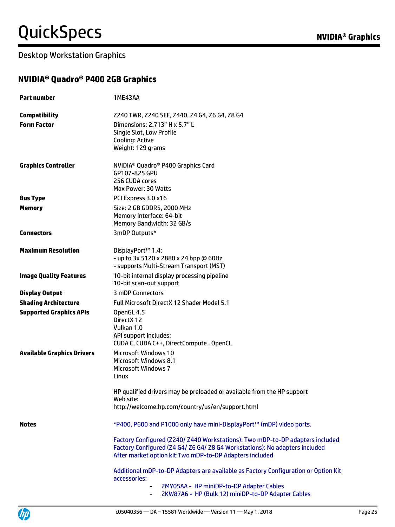### **NVIDIA® Quadro® P400 2GB Graphics**

| <b>Part number</b>                | 1ME43AA                                                                                                                                                                                                                  |
|-----------------------------------|--------------------------------------------------------------------------------------------------------------------------------------------------------------------------------------------------------------------------|
| <b>Compatibility</b>              | Z240 TWR, Z240 SFF, Z440, Z4 G4, Z6 G4, Z8 G4                                                                                                                                                                            |
| <b>Form Factor</b>                | Dimensions: 2.713" H x 5.7" L<br><b>Single Slot, Low Profile</b><br>Cooling: Active<br>Weight: 129 grams                                                                                                                 |
| <b>Graphics Controller</b>        | NVIDIA <sup>®</sup> Quadro <sup>®</sup> P400 Graphics Card<br>GP107-825 GPU<br>256 CUDA cores<br>Max Power: 30 Watts                                                                                                     |
| <b>Bus Type</b>                   | PCI Express 3.0 x16                                                                                                                                                                                                      |
| <b>Memory</b>                     | Size: 2 GB GDDR5, 2000 MHz<br>Memory Interface: 64-bit<br>Memory Bandwidth: 32 GB/s                                                                                                                                      |
| <b>Connectors</b>                 | 3mDP Outputs*                                                                                                                                                                                                            |
| <b>Maximum Resolution</b>         | DisplayPort™ 1.4:<br>- up to 3x 5120 x 2880 x 24 bpp @ 60Hz<br>- supports Multi-Stream Transport (MST)                                                                                                                   |
| <b>Image Quality Features</b>     | 10-bit internal display processing pipeline<br>10-bit scan-out support                                                                                                                                                   |
| <b>Display Output</b>             | 3 mDP Connectors                                                                                                                                                                                                         |
| <b>Shading Architecture</b>       | Full Microsoft DirectX 12 Shader Model 5.1                                                                                                                                                                               |
| <b>Supported Graphics APIs</b>    | OpenGL 4.5<br>DirectX 12<br>Vulkan 1.0<br>API support includes:<br>CUDA C, CUDA C++, DirectCompute, OpenCL                                                                                                               |
| <b>Available Graphics Drivers</b> | <b>Microsoft Windows 10</b><br><b>Microsoft Windows 8.1</b><br><b>Microsoft Windows 7</b><br>Linux                                                                                                                       |
|                                   | HP qualified drivers may be preloaded or available from the HP support<br>Web site:<br>http://welcome.hp.com/country/us/en/support.html                                                                                  |
| <b>Notes</b>                      | *P400, P600 and P1000 only have mini-DisplayPort™ (mDP) video ports.                                                                                                                                                     |
|                                   | Factory Configured (Z240/ Z440 Workstations): Two mDP-to-DP adapters included<br>Factory Configured (Z4 G4/ Z6 G4/ Z8 G4 Workstations): No adapters included<br>After market option kit: Two mDP-to-DP Adapters included |
|                                   | Additional mDP-to-DP Adapters are available as Factory Configuration or Option Kit<br>accessories:<br>2MY05AA - HP miniDP-to-DP Adapter Cables<br>2KW87A6 - HP (Bulk 12) miniDP-to-DP Adapter Cables<br>۰                |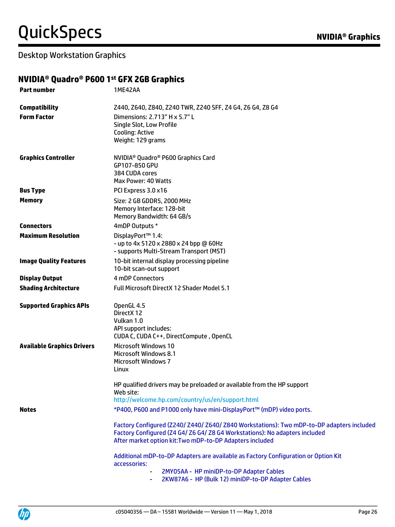#### **NVIDIA® Quadro® P600 1 st GFX 2GB Graphics**

| <b>Part number</b>                | 1ME42AA                                                                                                                                                                                                                              |
|-----------------------------------|--------------------------------------------------------------------------------------------------------------------------------------------------------------------------------------------------------------------------------------|
| <b>Compatibility</b>              | Z440, Z640, Z840, Z240 TWR, Z240 SFF, Z4 G4, Z6 G4, Z8 G4                                                                                                                                                                            |
| <b>Form Factor</b>                | Dimensions: 2.713" H x 5.7" L<br>Single Slot, Low Profile<br>Cooling: Active<br>Weight: 129 grams                                                                                                                                    |
| <b>Graphics Controller</b>        | NVIDIA <sup>®</sup> Quadro <sup>®</sup> P600 Graphics Card<br>GP107-850 GPU<br>384 CUDA cores<br>Max Power: 40 Watts                                                                                                                 |
| <b>Bus Type</b>                   | PCI Express 3.0 x16                                                                                                                                                                                                                  |
| <b>Memory</b>                     | Size: 2 GB GDDR5, 2000 MHz<br>Memory Interface: 128-bit<br>Memory Bandwidth: 64 GB/s                                                                                                                                                 |
| <b>Connectors</b>                 | 4mDP Outputs *                                                                                                                                                                                                                       |
| <b>Maximum Resolution</b>         | DisplayPort™ 1.4:<br>- up to 4x 5120 x 2880 x 24 bpp @ 60Hz<br>- supports Multi-Stream Transport (MST)                                                                                                                               |
| <b>Image Quality Features</b>     | 10-bit internal display processing pipeline<br>10-bit scan-out support                                                                                                                                                               |
| <b>Display Output</b>             | 4 mDP Connectors                                                                                                                                                                                                                     |
| <b>Shading Architecture</b>       | <b>Full Microsoft DirectX 12 Shader Model 5.1</b>                                                                                                                                                                                    |
| <b>Supported Graphics APIs</b>    | OpenGL 4.5<br>DirectX 12<br>Vulkan 1.0<br>API support includes:<br>CUDA C, CUDA C++, DirectCompute, OpenCL                                                                                                                           |
| <b>Available Graphics Drivers</b> | <b>Microsoft Windows 10</b><br><b>Microsoft Windows 8.1</b><br><b>Microsoft Windows 7</b><br>Linux                                                                                                                                   |
|                                   | HP qualified drivers may be preloaded or available from the HP support<br>Web site:<br>http://welcome.hp.com/country/us/en/support.html                                                                                              |
| <b>Notes</b>                      | *P400, P600 and P1000 only have mini-DisplayPort™ (mDP) video ports.                                                                                                                                                                 |
|                                   | Factory Configured (Z240/ Z440/ Z640/ Z840 Workstations): Two mDP-to-DP adapters included<br>Factory Configured (Z4 G4/ Z6 G4/ Z8 G4 Workstations): No adapters included<br>After market option kit: Two mDP-to-DP Adapters included |
|                                   | Additional mDP-to-DP Adapters are available as Factory Configuration or Option Kit<br>accessories:                                                                                                                                   |
|                                   | 2MY05AA - HP miniDP-to-DP Adapter Cables<br>2KW87A6 - HP (Bulk 12) miniDP-to-DP Adapter Cables                                                                                                                                       |
|                                   |                                                                                                                                                                                                                                      |



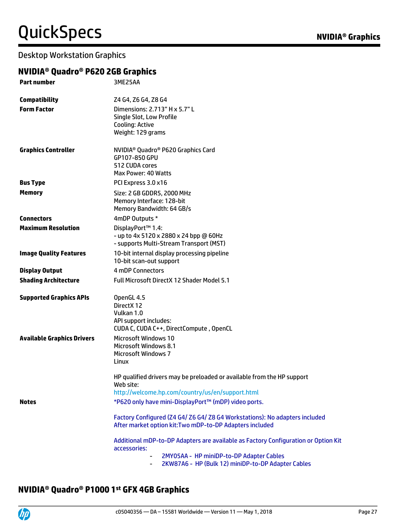#### Desktop Workstation Graphics

### **NVIDIA® Quadro® P620 2GB Graphics**

| <b>Part number</b>                | 3ME25AA                                                                                                                                        |
|-----------------------------------|------------------------------------------------------------------------------------------------------------------------------------------------|
| <b>Compatibility</b>              | Z4 G4, Z6 G4, Z8 G4                                                                                                                            |
| <b>Form Factor</b>                | Dimensions: 2.713" H x 5.7" L<br>Single Slot, Low Profile<br>Cooling: Active<br>Weight: 129 grams                                              |
| <b>Graphics Controller</b>        | NVIDIA <sup>®</sup> Quadro® P620 Graphics Card<br>GP107-850 GPU<br>512 CUDA cores<br>Max Power: 40 Watts                                       |
| <b>Bus Type</b>                   | PCI Express 3.0 x16                                                                                                                            |
| <b>Memory</b>                     | Size: 2 GB GDDR5, 2000 MHz<br>Memory Interface: 128-bit<br>Memory Bandwidth: 64 GB/s                                                           |
| <b>Connectors</b>                 | 4mDP Outputs *                                                                                                                                 |
| <b>Maximum Resolution</b>         | DisplayPort™ 1.4:<br>- up to 4x 5120 x 2880 x 24 bpp @ 60Hz<br>- supports Multi-Stream Transport (MST)                                         |
| <b>Image Quality Features</b>     | 10-bit internal display processing pipeline<br>10-bit scan-out support                                                                         |
| <b>Display Output</b>             | <b>4 mDP Connectors</b>                                                                                                                        |
| <b>Shading Architecture</b>       | <b>Full Microsoft DirectX 12 Shader Model 5.1</b>                                                                                              |
| <b>Supported Graphics APIs</b>    | OpenGL 4.5<br>DirectX 12<br>Vulkan 1.0<br>API support includes:<br>CUDA C, CUDA C++, DirectCompute, OpenCL                                     |
| <b>Available Graphics Drivers</b> | <b>Microsoft Windows 10</b><br><b>Microsoft Windows 8.1</b><br><b>Microsoft Windows 7</b><br>Linux                                             |
|                                   | HP qualified drivers may be preloaded or available from the HP support<br>Web site:<br>http://welcome.hp.com/country/us/en/support.html        |
| <b>Notes</b>                      | *P620 only have mini-DisplayPort™ (mDP) video ports.                                                                                           |
|                                   |                                                                                                                                                |
|                                   | Factory Configured (Z4 G4/ Z6 G4/ Z8 G4 Workstations): No adapters included<br>After market option kit: Two mDP-to-DP Adapters included        |
|                                   | Additional mDP-to-DP Adapters are available as Factory Configuration or Option Kit<br>accessories:<br>2MY05AA - HP miniDP-to-DP Adapter Cables |
|                                   | 2KW87A6 - HP (Bulk 12) miniDP-to-DP Adapter Cables                                                                                             |

#### **NVIDIA® Quadro® P1000 1 st GFX 4GB Graphics**

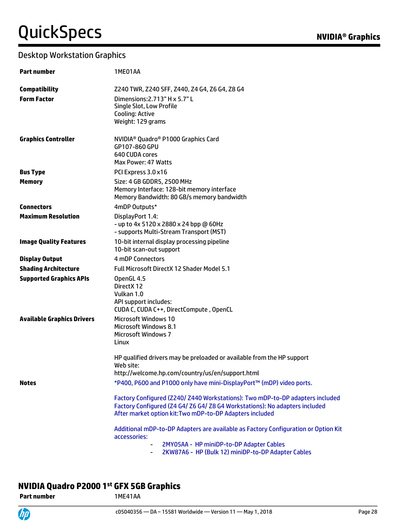#### Desktop Workstation Graphics

| <b>Part number</b>                | 1ME01AA                                                                                                                                                                                                                  |
|-----------------------------------|--------------------------------------------------------------------------------------------------------------------------------------------------------------------------------------------------------------------------|
| <b>Compatibility</b>              | Z240 TWR, Z240 SFF, Z440, Z4 G4, Z6 G4, Z8 G4                                                                                                                                                                            |
| <b>Form Factor</b>                | Dimensions: 2.713" H x 5.7" L<br>Single Slot, Low Profile<br><b>Cooling: Active</b><br>Weight: 129 grams                                                                                                                 |
| <b>Graphics Controller</b>        | NVIDIA <sup>®</sup> Quadro <sup>®</sup> P1000 Graphics Card<br>GP107-860 GPU<br>640 CUDA cores<br>Max Power: 47 Watts                                                                                                    |
| <b>Bus Type</b>                   | PCI Express 3.0 x16                                                                                                                                                                                                      |
| <b>Memory</b>                     | Size: 4 GB GDDR5, 2500 MHz<br>Memory Interface: 128-bit memory interface<br>Memory Bandwidth: 80 GB/s memory bandwidth                                                                                                   |
| <b>Connectors</b>                 | 4mDP Outputs*                                                                                                                                                                                                            |
| <b>Maximum Resolution</b>         | DisplayPort 1.4:<br>- up to 4x 5120 x 2880 x 24 bpp @ 60Hz<br>- supports Multi-Stream Transport (MST)                                                                                                                    |
| <b>Image Quality Features</b>     | 10-bit internal display processing pipeline<br>10-bit scan-out support                                                                                                                                                   |
| <b>Display Output</b>             | 4 mDP Connectors                                                                                                                                                                                                         |
| <b>Shading Architecture</b>       | <b>Full Microsoft DirectX 12 Shader Model 5.1</b>                                                                                                                                                                        |
| <b>Supported Graphics APIs</b>    | OpenGL 4.5<br>Direct X 12<br>Vulkan 1.0<br>API support includes:<br>CUDA C, CUDA C++, DirectCompute, OpenCL                                                                                                              |
| <b>Available Graphics Drivers</b> | <b>Microsoft Windows 10</b><br>Microsoft Windows 8.1<br><b>Microsoft Windows 7</b><br>Linux                                                                                                                              |
|                                   | HP qualified drivers may be preloaded or available from the HP support<br>Web site:<br>http://welcome.hp.com/country/us/en/support.html                                                                                  |
| <b>Notes</b>                      | *P400, P600 and P1000 only have mini-DisplayPort™ (mDP) video ports.                                                                                                                                                     |
|                                   |                                                                                                                                                                                                                          |
|                                   | Factory Configured (Z240/ Z440 Workstations): Two mDP-to-DP adapters included<br>Factory Configured (Z4 G4/ Z6 G4/ Z8 G4 Workstations): No adapters included<br>After market option kit: Two mDP-to-DP Adapters included |
|                                   | Additional mDP-to-DP Adapters are available as Factory Configuration or Option Kit<br>accessories:                                                                                                                       |
|                                   | 2MY05AA - HP miniDP-to-DP Adapter Cables<br>2KW87A6 - HP (Bulk 12) miniDP-to-DP Adapter Cables                                                                                                                           |

#### **NVIDIA Quadro P2000 1 st GFX 5GB Graphics**

Part number 1ME41AA

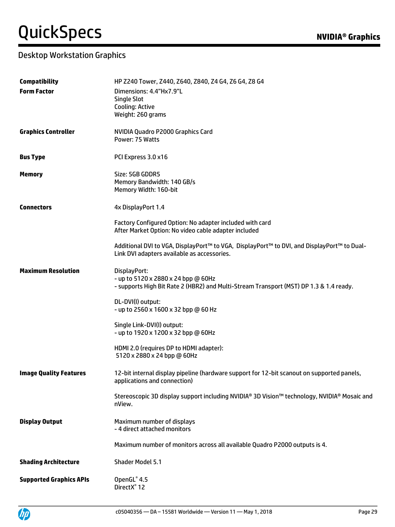| <b>Compatibility</b>           | HP Z240 Tower, Z440, Z640, Z840, Z4 G4, Z6 G4, Z8 G4                                        |
|--------------------------------|---------------------------------------------------------------------------------------------|
| <b>Form Factor</b>             | Dimensions: 4.4"Hx7.9"L                                                                     |
|                                | <b>Single Slot</b>                                                                          |
|                                | <b>Cooling: Active</b>                                                                      |
|                                | Weight: 260 grams                                                                           |
| <b>Graphics Controller</b>     | NVIDIA Quadro P2000 Graphics Card                                                           |
|                                | Power: 75 Watts                                                                             |
| <b>Bus Type</b>                | PCI Express 3.0 x16                                                                         |
| <b>Memory</b>                  | Size: 5GB GDDR5                                                                             |
|                                | Memory Bandwidth: 140 GB/s                                                                  |
|                                | Memory Width: 160-bit                                                                       |
| <b>Connectors</b>              | 4x DisplayPort 1.4                                                                          |
|                                | Factory Configured Option: No adapter included with card                                    |
|                                | After Market Option: No video cable adapter included                                        |
|                                | Additional DVI to VGA, DisplayPort™ to VGA, DisplayPort™ to DVI, and DisplayPort™ to Dual-  |
|                                | Link DVI adapters available as accessories.                                                 |
| <b>Maximum Resolution</b>      | DisplayPort:                                                                                |
|                                | - up to 5120 x 2880 x 24 bpp @ 60Hz                                                         |
|                                | - supports High Bit Rate 2 (HBR2) and Multi-Stream Transport (MST) DP 1.3 & 1.4 ready.      |
|                                | DL-DVI(I) output:                                                                           |
|                                | - up to 2560 x 1600 x 32 bpp @ 60 Hz                                                        |
|                                | Single Link-DVI(I) output:                                                                  |
|                                | - up to 1920 x 1200 x 32 bpp @ 60Hz                                                         |
|                                | HDMI 2.0 (requires DP to HDMI adapter):                                                     |
|                                | 5120 x 2880 x 24 bpp @ 60Hz                                                                 |
| <b>Image Quality Features</b>  | 12-bit internal display pipeline (hardware support for 12-bit scanout on supported panels,  |
|                                | applications and connection)                                                                |
|                                | Stereoscopic 3D display support including NVIDIA® 3D Vision™ technology, NVIDIA® Mosaic and |
|                                | nView.                                                                                      |
| <b>Display Output</b>          | Maximum number of displays                                                                  |
|                                | - 4 direct attached monitors                                                                |
|                                | Maximum number of monitors across all available Quadro P2000 outputs is 4.                  |
| <b>Shading Architecture</b>    | <b>Shader Model 5.1</b>                                                                     |
| <b>Supported Graphics APIs</b> | OpenGL® 4.5                                                                                 |
|                                | DirectX <sup>®</sup> 12                                                                     |

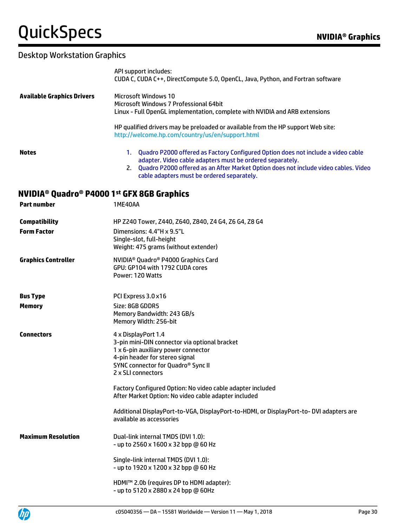|                                   | API support includes:<br>CUDA C, CUDA C++, DirectCompute 5.0, OpenCL, Java, Python, and Fortran software                                                                                                                                                                                 |
|-----------------------------------|------------------------------------------------------------------------------------------------------------------------------------------------------------------------------------------------------------------------------------------------------------------------------------------|
| <b>Available Graphics Drivers</b> | <b>Microsoft Windows 10</b><br>Microsoft Windows 7 Professional 64bit<br>Linux - Full OpenGL implementation, complete with NVIDIA and ARB extensions                                                                                                                                     |
|                                   | HP qualified drivers may be preloaded or available from the HP support Web site:<br>http://welcome.hp.com/country/us/en/support.html                                                                                                                                                     |
| <b>Notes</b>                      | 1. Quadro P2000 offered as Factory Configured Option does not include a video cable<br>adapter. Video cable adapters must be ordered separately.<br>2. Quadro P2000 offered as an After Market Option does not include video cables. Video<br>cable adapters must be ordered separately. |
|                                   | NVIDIA® Quadro® P4000 1st GFX 8GB Graphics                                                                                                                                                                                                                                               |
| <b>Part number</b>                | 1ME40AA                                                                                                                                                                                                                                                                                  |
| <b>Compatibility</b>              | HP Z240 Tower, Z440, Z640, Z840, Z4 G4, Z6 G4, Z8 G4                                                                                                                                                                                                                                     |
| <b>Form Factor</b>                | Dimensions: 4.4"H x 9.5"L<br>Single-slot, full-height<br>Weight: 475 grams (without extender)                                                                                                                                                                                            |
| <b>Graphics Controller</b>        | NVIDIA <sup>®</sup> Quadro <sup>®</sup> P4000 Graphics Card<br>GPU: GP104 with 1792 CUDA cores<br>Power: 120 Watts                                                                                                                                                                       |
| <b>Bus Type</b>                   | PCI Express 3.0 x16                                                                                                                                                                                                                                                                      |
| <b>Memory</b>                     | Size: 8GB GDDR5<br>Memory Bandwidth: 243 GB/s<br>Memory Width: 256-bit                                                                                                                                                                                                                   |
| <b>Connectors</b>                 | 4 x DisplayPort 1.4<br>3-pin mini-DIN connector via optional bracket<br>1 x 6-pin auxiliary power connector<br>4-pin header for stereo signal<br>SYNC connector for Quadro <sup>®</sup> Sync II<br>2 x SLI connectors                                                                    |
|                                   | Factory Configured Option: No video cable adapter included<br>After Market Option: No video cable adapter included                                                                                                                                                                       |
|                                   | Additional DisplayPort-to-VGA, DisplayPort-to-HDMI, or DisplayPort-to-DVI adapters are<br>available as accessories                                                                                                                                                                       |
| <b>Maximum Resolution</b>         | Dual-link internal TMDS (DVI 1.0):<br>- up to 2560 x 1600 x 32 bpp @ 60 Hz                                                                                                                                                                                                               |
|                                   | Single-link internal TMDS (DVI 1.0):<br>- up to 1920 x 1200 x 32 bpp @ 60 Hz                                                                                                                                                                                                             |
|                                   | HDMI™ 2.0b (requires DP to HDMI adapter):<br>- up to 5120 x 2880 x 24 bpp @ 60Hz                                                                                                                                                                                                         |

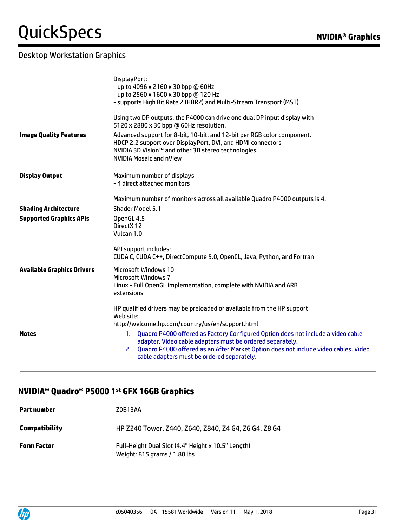|                                   | DisplayPort:<br>- up to 4096 x 2160 x 30 bpp @ 60Hz<br>- up to 2560 x 1600 x 30 bpp @ 120 Hz<br>- supports High Bit Rate 2 (HBR2) and Multi-Stream Transport (MST)                                                                                                                                                                                                                                                                  |
|-----------------------------------|-------------------------------------------------------------------------------------------------------------------------------------------------------------------------------------------------------------------------------------------------------------------------------------------------------------------------------------------------------------------------------------------------------------------------------------|
|                                   | Using two DP outputs, the P4000 can drive one dual DP input display with<br>5120 x 2880 x 30 bpp @ 60Hz resolution.                                                                                                                                                                                                                                                                                                                 |
| <b>Image Quality Features</b>     | Advanced support for 8-bit, 10-bit, and 12-bit per RGB color component.<br>HDCP 2.2 support over DisplayPort, DVI, and HDMI connectors<br>NVIDIA 3D Vision™ and other 3D stereo technologies<br><b>NVIDIA Mosaic and nView</b>                                                                                                                                                                                                      |
| <b>Display Output</b>             | Maximum number of displays<br>- 4 direct attached monitors                                                                                                                                                                                                                                                                                                                                                                          |
|                                   | Maximum number of monitors across all available Quadro P4000 outputs is 4.                                                                                                                                                                                                                                                                                                                                                          |
| <b>Shading Architecture</b>       | <b>Shader Model 5.1</b>                                                                                                                                                                                                                                                                                                                                                                                                             |
| <b>Supported Graphics APIs</b>    | OpenGL 4.5<br>DirectX 12<br>Vulcan 1.0                                                                                                                                                                                                                                                                                                                                                                                              |
|                                   | API support includes:<br>CUDA C, CUDA C++, DirectCompute 5.0, OpenCL, Java, Python, and Fortran                                                                                                                                                                                                                                                                                                                                     |
| <b>Available Graphics Drivers</b> | <b>Microsoft Windows 10</b>                                                                                                                                                                                                                                                                                                                                                                                                         |
|                                   | <b>Microsoft Windows 7</b><br>Linux - Full OpenGL implementation, complete with NVIDIA and ARB<br>extensions                                                                                                                                                                                                                                                                                                                        |
| <b>Notes</b>                      | HP qualified drivers may be preloaded or available from the HP support<br>Web site:<br>http://welcome.hp.com/country/us/en/support.html<br>1. Quadro P4000 offered as Factory Configured Option does not include a video cable<br>adapter. Video cable adapters must be ordered separately.<br>2. Quadro P4000 offered as an After Market Option does not include video cables. Video<br>cable adapters must be ordered separately. |

#### **NVIDIA® Quadro® P5000 1 st GFX 16GB Graphics**

| Part number          | Z0B13AA                                                                            |
|----------------------|------------------------------------------------------------------------------------|
| <b>Compatibility</b> | HP Z240 Tower, Z440, Z640, Z840, Z4 G4, Z6 G4, Z8 G4                               |
| <b>Form Factor</b>   | Full-Height Dual Slot (4.4" Height x 10.5" Length)<br>Weight: 815 grams / 1.80 lbs |

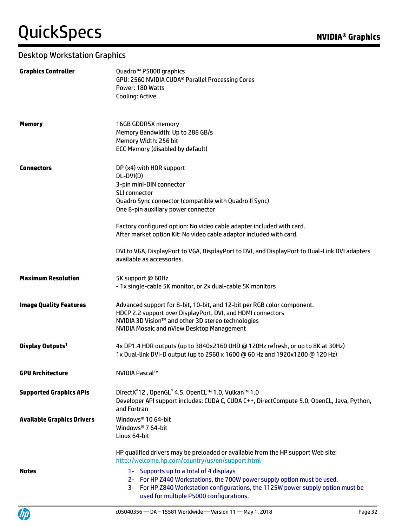| <b>Graphics Controller</b>        | Quadro <sup>™</sup> P5000 graphics<br>GPU: 2560 NVIDIA CUDA <sup>®</sup> Parallel Processing Cores<br>Power: 180 Watts<br>Cooling: Active                                                                                                                                                                                                                                                                                                                         |
|-----------------------------------|-------------------------------------------------------------------------------------------------------------------------------------------------------------------------------------------------------------------------------------------------------------------------------------------------------------------------------------------------------------------------------------------------------------------------------------------------------------------|
| <b>Memory</b>                     | 16GB GDDR5X memory<br>Memory Bandwidth: Up to 288 GB/s<br>Memory Width: 256 bit<br><b>ECC Memory (disabled by default)</b>                                                                                                                                                                                                                                                                                                                                        |
| <b>Connectors</b>                 | DP (x4) with HDR support<br>DL-DVI(D)<br>3-pin mini-DIN connector<br>SLI connector<br>Quadro Sync connector (compatible with Quadro II Sync)<br>One 8-pin auxiliary power connector<br>Factory configured option: No video cable adapter included with card.<br>After market option Kit: No video cable adaptor included with card.<br>DVI to VGA, DisplayPort to VGA, DisplayPort to DVI, and DisplayPort to Dual-Link DVI adapters<br>available as accessories. |
| <b>Maximum Resolution</b>         | 5K support @ 60Hz<br>- 1x single-cable 5K monitor, or 2x dual-cable 5K monitors                                                                                                                                                                                                                                                                                                                                                                                   |
| <b>Image Quality Features</b>     | Advanced support for 8-bit, 10-bit, and 12-bit per RGB color component.<br>HDCP 2.2 support over DisplayPort, DVI, and HDMI connectors<br>NVIDIA 3D Vision™ and other 3D stereo technologies<br><b>NVIDIA Mosaic and nView Desktop Management</b>                                                                                                                                                                                                                 |
| Display Outputs <sup>1</sup>      | 4x DP1.4 HDR outputs (up to 3840x2160 UHD @ 120Hz refresh, or up to 8K at 30Hz)<br>1x Dual-link DVI-D output (up to 2560 x 1600 @ 60 Hz and 1920x1200 @ 120 Hz)                                                                                                                                                                                                                                                                                                   |
| <b>GPU Architecture</b>           | NVIDIA Pascal™                                                                                                                                                                                                                                                                                                                                                                                                                                                    |
| <b>Supported Graphics APIs</b>    | DirectX <sup>®</sup> 12, OpenGL <sup>®</sup> 4.5, OpenCL™ 1.0, Vulkan™ 1.0<br>Developer API support includes: CUDA C, CUDA C++, DirectCompute 5.0, OpenCL, Java, Python,<br>and Fortran                                                                                                                                                                                                                                                                           |
| <b>Available Graphics Drivers</b> | Windows <sup>®</sup> 10 64-bit<br>Windows <sup>®</sup> 7 64-bit<br>Linux 64-bit                                                                                                                                                                                                                                                                                                                                                                                   |
| <b>Notes</b>                      | HP qualified drivers may be preloaded or available from the HP support Web site:<br>http://welcome.hp.com/country/us/en/support.html<br>1- Supports up to a total of 4 displays<br>2- For HP Z440 Workstations, the 700W power supply option must be used.<br>3- For HP Z840 Workstation configurations, the 1125W power supply option must be<br>used for multiple P5000 configurations.                                                                         |

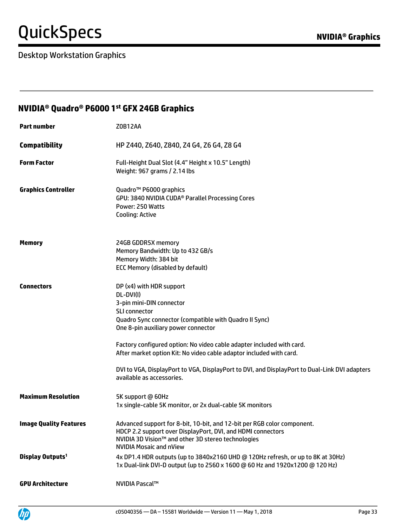| <b>NVIDIA<sup>®</sup> Quadro<sup>®</sup> P6000 1<sup>st</sup> GFX 24GB Graphics</b> |                                                                                                                                                                                                                                                                                                                                                                                                                                                                   |  |
|-------------------------------------------------------------------------------------|-------------------------------------------------------------------------------------------------------------------------------------------------------------------------------------------------------------------------------------------------------------------------------------------------------------------------------------------------------------------------------------------------------------------------------------------------------------------|--|
| <b>Part number</b>                                                                  | Z0B12AA                                                                                                                                                                                                                                                                                                                                                                                                                                                           |  |
| <b>Compatibility</b>                                                                | HP Z440, Z640, Z840, Z4 G4, Z6 G4, Z8 G4                                                                                                                                                                                                                                                                                                                                                                                                                          |  |
| <b>Form Factor</b>                                                                  | Full-Height Dual Slot (4.4" Height x 10.5" Length)<br>Weight: 967 grams / 2.14 lbs                                                                                                                                                                                                                                                                                                                                                                                |  |
| <b>Graphics Controller</b>                                                          | Quadro <sup>™</sup> P6000 graphics<br>GPU: 3840 NVIDIA CUDA <sup>®</sup> Parallel Processing Cores<br>Power: 250 Watts<br><b>Cooling: Active</b>                                                                                                                                                                                                                                                                                                                  |  |
| <b>Memory</b>                                                                       | 24GB GDDR5X memory<br>Memory Bandwidth: Up to 432 GB/s<br>Memory Width: 384 bit<br><b>ECC Memory (disabled by default)</b>                                                                                                                                                                                                                                                                                                                                        |  |
| <b>Connectors</b>                                                                   | DP (x4) with HDR support<br>DL-DVI(I)<br>3-pin mini-DIN connector<br>SLI connector<br>Quadro Sync connector (compatible with Quadro II Sync)<br>One 8-pin auxiliary power connector<br>Factory configured option: No video cable adapter included with card.<br>After market option Kit: No video cable adaptor included with card.<br>DVI to VGA, DisplayPort to VGA, DisplayPort to DVI, and DisplayPort to Dual-Link DVI adapters<br>available as accessories. |  |
| <b>Maximum Resolution</b>                                                           | 5K support @ 60Hz<br>1x single-cable 5K monitor, or 2x dual-cable 5K monitors                                                                                                                                                                                                                                                                                                                                                                                     |  |
| <b>Image Quality Features</b>                                                       | Advanced support for 8-bit, 10-bit, and 12-bit per RGB color component.<br>HDCP 2.2 support over DisplayPort, DVI, and HDMI connectors<br>NVIDIA 3D Vision™ and other 3D stereo technologies<br><b>NVIDIA Mosaic and nView</b>                                                                                                                                                                                                                                    |  |
| Display Outputs <sup>1</sup>                                                        | 4x DP1.4 HDR outputs (up to 3840x2160 UHD @ 120Hz refresh, or up to 8K at 30Hz)<br>1x Dual-link DVI-D output (up to 2560 x 1600 @ 60 Hz and 1920x1200 @ 120 Hz)                                                                                                                                                                                                                                                                                                   |  |
| <b>GPU Architecture</b>                                                             | NVIDIA Pascal™                                                                                                                                                                                                                                                                                                                                                                                                                                                    |  |

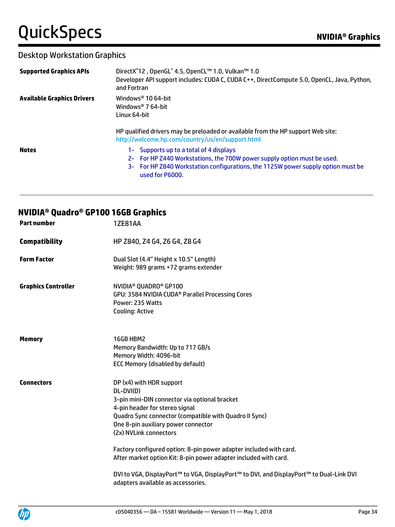#### Desktop Workstation Graphics

| <b>Supported Graphics APIs</b>    | DirectX <sup>®</sup> 12, OpenGL <sup>®</sup> 4.5, OpenCL™ 1.0, Vulkan™ 1.0<br>Developer API support includes: CUDA C, CUDA C++, DirectCompute 5.0, OpenCL, Java, Python,<br>and Fortran                                   |
|-----------------------------------|---------------------------------------------------------------------------------------------------------------------------------------------------------------------------------------------------------------------------|
| <b>Available Graphics Drivers</b> | Windows <sup>®</sup> 10 64-bit<br>Windows <sup>®</sup> 7 64-bit<br>Linux 64-bit                                                                                                                                           |
|                                   | HP qualified drivers may be preloaded or available from the HP support Web site:<br>http://welcome.hp.com/country/us/en/support.html                                                                                      |
| <b>Notes</b>                      | 1- Supports up to a total of 4 displays<br>2- For HP Z440 Workstations, the 700W power supply option must be used.<br>3- For HP Z840 Workstation configurations, the 1125W power supply option must be<br>used for P6000. |

### **NVIDIA® Quadro® GP100 16GB Graphics**

| <b>Part number</b>         | <b>1ZE81AA</b>                                                                                                                                                                                                                                                                                                                                                                                                                                                                           |
|----------------------------|------------------------------------------------------------------------------------------------------------------------------------------------------------------------------------------------------------------------------------------------------------------------------------------------------------------------------------------------------------------------------------------------------------------------------------------------------------------------------------------|
| <b>Compatibility</b>       | HP Z840, Z4 G4, Z6 G4, Z8 G4                                                                                                                                                                                                                                                                                                                                                                                                                                                             |
| <b>Form Factor</b>         | Dual Slot (4.4" Height x 10.5" Length)<br>Weight: 989 grams +72 grams extender                                                                                                                                                                                                                                                                                                                                                                                                           |
| <b>Graphics Controller</b> | NVIDIA <sup>®</sup> QUADRO <sup>®</sup> GP100<br>GPU: 3584 NVIDIA CUDA <sup>®</sup> Parallel Processing Cores<br>Power: 235 Watts<br>Cooling: Active                                                                                                                                                                                                                                                                                                                                     |
| <b>Memory</b>              | 16GB HBM2<br>Memory Bandwidth: Up to 717 GB/s<br>Memory Width: 4096-bit<br><b>ECC Memory (disabled by default)</b>                                                                                                                                                                                                                                                                                                                                                                       |
| <b>Connectors</b>          | DP (x4) with HDR support<br>DL-DVI(D)<br>3-pin mini-DIN connector via optional bracket<br>4-pin header for stereo signal<br>Quadro Sync connector (compatible with Quadro II Sync)<br>One 8-pin auxiliary power connector<br>(2x) NVLink connectors<br>Factory configured option: 8-pin power adapter included with card.<br>After market option Kit: 8-pin power adapter included with card.<br>DVI to VGA, DisplayPort™ to VGA, DisplayPort™ to DVI, and DisplayPort™ to Dual-Link DVI |
|                            | adapters available as accessories.                                                                                                                                                                                                                                                                                                                                                                                                                                                       |

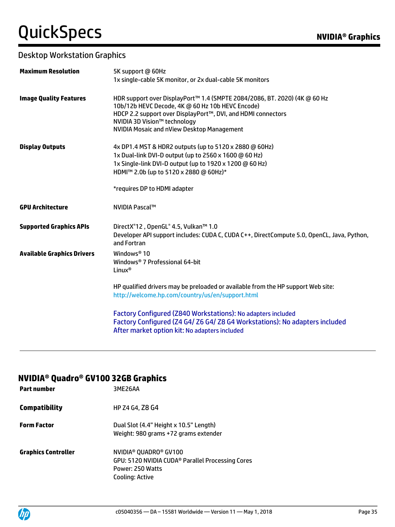### Desktop Workstation Graphics

| <b>Maximum Resolution</b>         | 5K support @ 60Hz<br>1x single-cable 5K monitor, or 2x dual-cable 5K monitors                                                                                                                                                                                                      |
|-----------------------------------|------------------------------------------------------------------------------------------------------------------------------------------------------------------------------------------------------------------------------------------------------------------------------------|
| <b>Image Quality Features</b>     | HDR support over DisplayPort™ 1.4 (SMPTE 2084/2086, BT. 2020) (4K @ 60 Hz<br>10b/12b HEVC Decode, 4K @ 60 Hz 10b HEVC Encode)<br>HDCP 2.2 support over DisplayPort™, DVI, and HDMI connectors<br>NVIDIA 3D Vision™ technology<br><b>NVIDIA Mosaic and nView Desktop Management</b> |
| <b>Display Outputs</b>            | 4x DP1.4 MST & HDR2 outputs (up to 5120 x 2880 @ 60Hz)<br>1x Dual-link DVI-D output (up to 2560 x 1600 @ 60 Hz)<br>1x Single-link DVI-D output (up to 1920 x 1200 @ 60 Hz)<br>HDMI™ 2.0b (up to 5120 x 2880 @ 60Hz)*<br>*requires DP to HDMI adapter                               |
| <b>GPU Architecture</b>           | NVIDIA Pascal™                                                                                                                                                                                                                                                                     |
| <b>Supported Graphics APIs</b>    | DirectX <sup>®</sup> 12, OpenGL <sup>®</sup> 4.5, Vulkan™ 1.0<br>Developer API support includes: CUDA C, CUDA C++, DirectCompute 5.0, OpenCL, Java, Python,<br>and Fortran                                                                                                         |
| <b>Available Graphics Drivers</b> | Windows <sup>®</sup> 10<br>Windows® 7 Professional 64-bit<br>Linux <sup>®</sup>                                                                                                                                                                                                    |
|                                   | HP qualified drivers may be preloaded or available from the HP support Web site:<br>http://welcome.hp.com/country/us/en/support.html                                                                                                                                               |
|                                   | Factory Configured (Z840 Workstations): No adapters included<br>Factory Configured (Z4 G4/ Z6 G4/ Z8 G4 Workstations): No adapters included<br>After market option kit: No adapters included                                                                                       |

#### **NVIDIA® Quadro® GV100 32GB Graphics**

| <b>Part number</b>         | 3ME26AA                                                                                                                                              |
|----------------------------|------------------------------------------------------------------------------------------------------------------------------------------------------|
| <b>Compatibility</b>       | HP Z4 G4, Z8 G4                                                                                                                                      |
| <b>Form Factor</b>         | Dual Slot (4.4" Height x 10.5" Length)<br>Weight: 980 grams +72 grams extender                                                                       |
| <b>Graphics Controller</b> | NVIDIA <sup>®</sup> QUADRO <sup>®</sup> GV100<br>GPU: 5120 NVIDIA CUDA <sup>®</sup> Parallel Processing Cores<br>Power: 250 Watts<br>Cooling: Active |

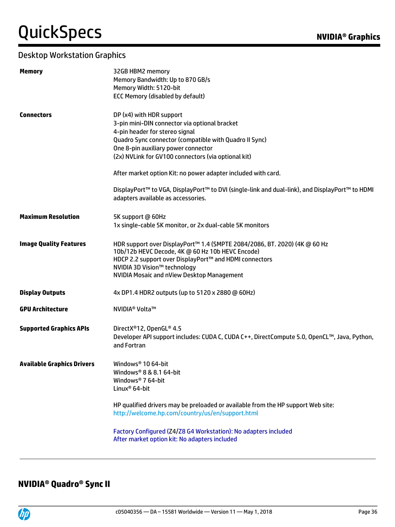### Desktop Workstation Graphics

| <b>Memory</b>                     | 32GB HBM2 memory                                                                                                                     |
|-----------------------------------|--------------------------------------------------------------------------------------------------------------------------------------|
|                                   | Memory Bandwidth: Up to 870 GB/s                                                                                                     |
|                                   | Memory Width: 5120-bit                                                                                                               |
|                                   | <b>ECC Memory (disabled by default)</b>                                                                                              |
| <b>Connectors</b>                 | DP (x4) with HDR support                                                                                                             |
|                                   | 3-pin mini-DIN connector via optional bracket                                                                                        |
|                                   | 4-pin header for stereo signal                                                                                                       |
|                                   | Quadro Sync connector (compatible with Quadro II Sync)                                                                               |
|                                   | One 8-pin auxiliary power connector                                                                                                  |
|                                   | (2x) NVLink for GV100 connectors (via optional kit)                                                                                  |
|                                   | After market option Kit: no power adapter included with card.                                                                        |
|                                   | DisplayPort™ to VGA, DisplayPort™ to DVI (single-link and dual-link), and DisplayPort™ to HDMI                                       |
|                                   | adapters available as accessories.                                                                                                   |
| <b>Maximum Resolution</b>         | 5K support @ 60Hz                                                                                                                    |
|                                   | 1x single-cable 5K monitor, or 2x dual-cable 5K monitors                                                                             |
| <b>Image Quality Features</b>     | HDR support over DisplayPort™ 1.4 (SMPTE 2084/2086, BT. 2020) (4K @ 60 Hz<br>10b/12b HEVC Decode, 4K @ 60 Hz 10b HEVC Encode)        |
|                                   | HDCP 2.2 support over DisplayPort™ and HDMI connectors                                                                               |
|                                   | NVIDIA 3D Vision™ technology                                                                                                         |
|                                   | NVIDIA Mosaic and nView Desktop Management                                                                                           |
| <b>Display Outputs</b>            | 4x DP1.4 HDR2 outputs (up to 5120 x 2880 @ 60Hz)                                                                                     |
| <b>GPU Architecture</b>           | NVIDIA <sup>®</sup> Volta™                                                                                                           |
| <b>Supported Graphics APIs</b>    | DirectX®12, OpenGL® 4.5                                                                                                              |
|                                   | Developer API support includes: CUDA C, CUDA C++, DirectCompute 5.0, OpenCL™, Java, Python,                                          |
|                                   | and Fortran                                                                                                                          |
| <b>Available Graphics Drivers</b> | Windows <sup>®</sup> 10 64-bit                                                                                                       |
|                                   | Windows <sup>®</sup> 8 & 8.1 64-bit                                                                                                  |
|                                   | Windows <sup>®</sup> 7 64-bit                                                                                                        |
|                                   | Linux <sup>®</sup> 64-bit                                                                                                            |
|                                   | HP qualified drivers may be preloaded or available from the HP support Web site:<br>http://welcome.hp.com/country/us/en/support.html |
|                                   |                                                                                                                                      |
|                                   | Factory Configured (Z4/Z8 G4 Workstation): No adapters included<br>After market option kit: No adapters included                     |
|                                   |                                                                                                                                      |

### **NVIDIA® Quadro® Sync II**

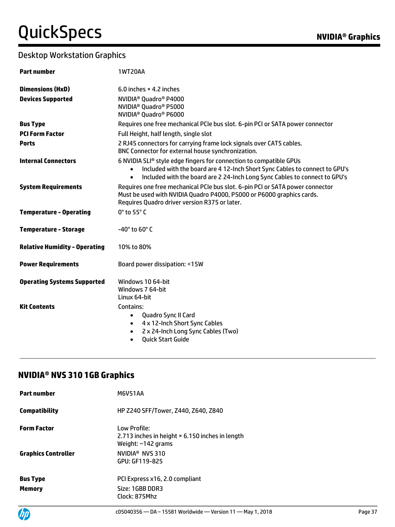| <b>Part number</b>                   | <b>1WT20AA</b>                                                                                                                                                                                                                                            |
|--------------------------------------|-----------------------------------------------------------------------------------------------------------------------------------------------------------------------------------------------------------------------------------------------------------|
| <b>Dimensions (HxD)</b>              | 6.0 inches $\times$ 4.2 inches                                                                                                                                                                                                                            |
| <b>Devices Supported</b>             | NVIDIA <sup>®</sup> Quadro <sup>®</sup> P4000<br>NVIDIA <sup>®</sup> Quadro <sup>®</sup> P5000<br>NVIDIA <sup>®</sup> Quadro <sup>®</sup> P6000                                                                                                           |
| <b>Bus Type</b>                      | Requires one free mechanical PCIe bus slot. 6-pin PCI or SATA power connector                                                                                                                                                                             |
| <b>PCI Form Factor</b>               | Full Height, half length, single slot                                                                                                                                                                                                                     |
| <b>Ports</b>                         | 2 RJ45 connectors for carrying frame lock signals over CAT5 cables.<br>BNC Connector for external house synchronization.                                                                                                                                  |
| <b>Internal Connectors</b>           | 6 NVIDIA SLI® style edge fingers for connection to compatible GPUs<br>Included with the board are 4 12-Inch Short Sync Cables to connect to GPU's<br>$\bullet$<br>Included with the board are 2 24-Inch Long Sync Cables to connect to GPU's<br>$\bullet$ |
| <b>System Requirements</b>           | Requires one free mechanical PCIe bus slot. 6-pin PCI or SATA power connector<br>Must be used with NVIDIA Quadro P4000, P5000 or P6000 graphics cards.<br>Requires Quadro driver version R375 or later.                                                   |
| <b>Temperature - Operating</b>       | 0° to 55° C                                                                                                                                                                                                                                               |
| <b>Temperature - Storage</b>         | -40 $^{\circ}$ to 60 $^{\circ}$ C                                                                                                                                                                                                                         |
| <b>Relative Humidity - Operating</b> | 10% to 80%                                                                                                                                                                                                                                                |
| <b>Power Requirements</b>            | Board power dissipation: <15W                                                                                                                                                                                                                             |
| <b>Operating Systems Supported</b>   | Windows 10 64-bit<br>Windows 7 64-bit<br>Linux 64-bit                                                                                                                                                                                                     |
| <b>Kit Contents</b>                  | Contains:<br>Quadro Sync II Card<br>$\bullet$<br>4 x 12-Inch Short Sync Cables<br>$\bullet$<br>2 x 24-Inch Long Sync Cables (Two)<br>$\bullet$<br><b>Quick Start Guide</b><br>$\bullet$                                                                   |

### **NVIDIA® NVS 310 1GB Graphics**

| <b>Part number</b>         | <b>M6V51AA</b>                                                                              |
|----------------------------|---------------------------------------------------------------------------------------------|
| Compatibility              | HP Z240 SFF/Tower, Z440, Z640, Z840                                                         |
| <b>Form Factor</b>         | Low Profile:<br>2.713 inches in height × 6.150 inches in length<br>Weight: $\sim$ 142 grams |
| <b>Graphics Controller</b> | NVIDIA <sup>®</sup> NVS 310<br>GPU: GF119-825                                               |
| <b>Bus Type</b>            | PCI Express x16, 2.0 compliant                                                              |
| Memory                     | Size: 1GBB DDR3<br>Clock: 875Mhz                                                            |

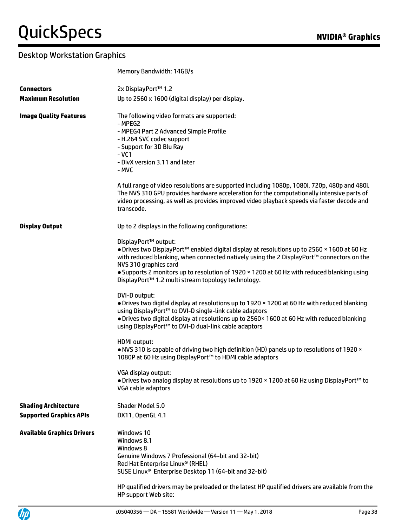|                                                                     | Memory Bandwidth: 14GB/s                                                                                                                                                                                                                                                                                                                                                                                                                                                                                                                                                                                                                                                                                                                                                                                                                                                                                                                                                                                                                                                                                                      |
|---------------------------------------------------------------------|-------------------------------------------------------------------------------------------------------------------------------------------------------------------------------------------------------------------------------------------------------------------------------------------------------------------------------------------------------------------------------------------------------------------------------------------------------------------------------------------------------------------------------------------------------------------------------------------------------------------------------------------------------------------------------------------------------------------------------------------------------------------------------------------------------------------------------------------------------------------------------------------------------------------------------------------------------------------------------------------------------------------------------------------------------------------------------------------------------------------------------|
| <b>Connectors</b>                                                   | 2x DisplayPort™ 1.2                                                                                                                                                                                                                                                                                                                                                                                                                                                                                                                                                                                                                                                                                                                                                                                                                                                                                                                                                                                                                                                                                                           |
| <b>Maximum Resolution</b>                                           | Up to 2560 x 1600 (digital display) per display.                                                                                                                                                                                                                                                                                                                                                                                                                                                                                                                                                                                                                                                                                                                                                                                                                                                                                                                                                                                                                                                                              |
| <b>Image Quality Features</b>                                       | The following video formats are supported:<br>- MPEG2<br>- MPEG4 Part 2 Advanced Simple Profile<br>- H.264 SVC codec support<br>- Support for 3D Blu Ray<br>$-VC1$<br>- DivX version 3.11 and later<br>- MVC<br>A full range of video resolutions are supported including 1080p, 1080i, 720p, 480p and 480i.<br>The NVS 310 GPU provides hardware acceleration for the computationally intensive parts of<br>video processing, as well as provides improved video playback speeds via faster decode and<br>transcode.                                                                                                                                                                                                                                                                                                                                                                                                                                                                                                                                                                                                         |
| <b>Display Output</b>                                               | Up to 2 displays in the following configurations:<br>DisplayPort™ output:<br>• Drives two DisplayPort™ enabled digital display at resolutions up to 2560 × 1600 at 60 Hz<br>with reduced blanking, when connected natively using the 2 DisplayPort™ connectors on the<br>NVS 310 graphics card<br>. Supports 2 monitors up to resolution of 1920 x 1200 at 60 Hz with reduced blanking using<br>DisplayPort™ 1.2 multi stream topology technology.<br>DVI-D output:<br>. Drives two digital display at resolutions up to 1920 x 1200 at 60 Hz with reduced blanking<br>using DisplayPort™ to DVI-D single-link cable adaptors<br>. Drives two digital display at resolutions up to 2560×1600 at 60 Hz with reduced blanking<br>using DisplayPort™ to DVI-D dual-link cable adaptors<br><b>HDMI</b> output:<br>. NVS 310 is capable of driving two high definition (HD) panels up to resolutions of 1920 x<br>1080P at 60 Hz using DisplayPort™ to HDMI cable adaptors<br>VGA display output:<br>• Drives two analog display at resolutions up to 1920 × 1200 at 60 Hz using DisplayPort <sup>™</sup> to<br>VGA cable adaptors |
| <b>Shading Architecture</b>                                         | Shader Model 5.0                                                                                                                                                                                                                                                                                                                                                                                                                                                                                                                                                                                                                                                                                                                                                                                                                                                                                                                                                                                                                                                                                                              |
| <b>Supported Graphics APIs</b><br><b>Available Graphics Drivers</b> | DX11, OpenGL 4.1<br>Windows 10<br>Windows 8.1<br>Windows 8<br>Genuine Windows 7 Professional (64-bit and 32-bit)<br>Red Hat Enterprise Linux® (RHEL)<br>SUSE Linux <sup>®</sup> Enterprise Desktop 11 (64-bit and 32-bit)<br>HP qualified drivers may be preloaded or the latest HP qualified drivers are available from the<br>HP support Web site:                                                                                                                                                                                                                                                                                                                                                                                                                                                                                                                                                                                                                                                                                                                                                                          |

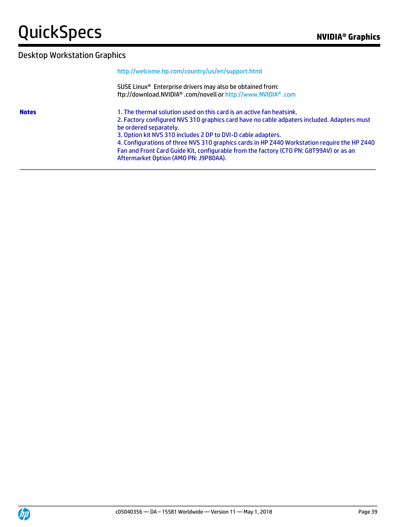#### <http://welcome.hp.com/country/us/en/support.html>

SUSE Linux® Enterprise drivers may also be obtained from: ftp://download.NVIDIA® .com/novell or [http://www.NVIDIA® .com](http://www.nvidia.com/)

**Notes** 1. The thermal solution used on this card is an active fan heatsink. 2. Factory configured NVS 310 graphics card have no cable adpaters included. Adapters must be ordered separately.

3. Option kit NVS 310 includes 2 DP to DVI-D cable adapters.

4. Configurations of three NVS 310 graphics cards in HP Z440 Workstation require the HP Z440 Fan and Front Card Guide Kit, configurable from the factory (CTO PN: G8T99AV) or as an Aftermarket Option (AMO PN: J9P80AA).

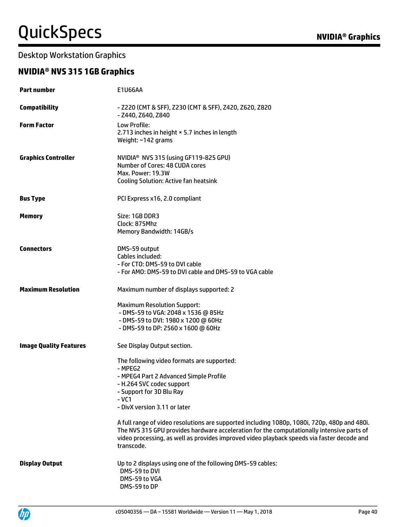#### **NVIDIA® NVS 315 1GB Graphics**

| <b>Part number</b>            | E1U66AA                                                                                                                                                                                                                                                                                                                                                                                                                                                                                                     |
|-------------------------------|-------------------------------------------------------------------------------------------------------------------------------------------------------------------------------------------------------------------------------------------------------------------------------------------------------------------------------------------------------------------------------------------------------------------------------------------------------------------------------------------------------------|
| <b>Compatibility</b>          | - Z220 (CMT & SFF), Z230 (CMT & SFF), Z420, Z620, Z820<br>- Z440, Z640, Z840                                                                                                                                                                                                                                                                                                                                                                                                                                |
| <b>Form Factor</b>            | Low Profile:<br>2.713 inches in height × 5.7 inches in length<br>Weight: ~142 grams                                                                                                                                                                                                                                                                                                                                                                                                                         |
| <b>Graphics Controller</b>    | NVIDIA <sup>®</sup> NVS 315 (using GF119-825 GPU)<br>Number of Cores: 48 CUDA cores<br>Max. Power: 19.3W<br><b>Cooling Solution: Active fan heatsink</b>                                                                                                                                                                                                                                                                                                                                                    |
| <b>Bus Type</b>               | PCI Express x16, 2.0 compliant                                                                                                                                                                                                                                                                                                                                                                                                                                                                              |
| <b>Memory</b>                 | Size: 1GB DDR3<br>Clock: 875Mhz<br>Memory Bandwidth: 14GB/s                                                                                                                                                                                                                                                                                                                                                                                                                                                 |
| <b>Connectors</b>             | DMS-59 output<br>Cables included:<br>- For CTO: DMS-59 to DVI cable<br>- For AMO: DMS-59 to DVI cable and DMS-59 to VGA cable                                                                                                                                                                                                                                                                                                                                                                               |
| <b>Maximum Resolution</b>     | Maximum number of displays supported: 2                                                                                                                                                                                                                                                                                                                                                                                                                                                                     |
|                               | <b>Maximum Resolution Support:</b><br>- DMS-59 to VGA: 2048 x 1536 @ 85Hz<br>- DMS-59 to DVI: 1980 x 1200 @ 60Hz<br>- DMS-59 to DP: 2560 x 1600 @ 60Hz                                                                                                                                                                                                                                                                                                                                                      |
| <b>Image Quality Features</b> | See Display Output section.                                                                                                                                                                                                                                                                                                                                                                                                                                                                                 |
|                               | The following video formats are supported:<br>- MPEG2<br>- MPEG4 Part 2 Advanced Simple Profile<br>- H.264 SVC codec support<br>- Support for 3D Blu Ray<br>$-VC1$<br>- DivX version 3.11 or later<br>A full range of video resolutions are supported including 1080p, 1080i, 720p, 480p and 480i.<br>The NVS 315 GPU provides hardware acceleration for the computationally intensive parts of<br>video processing, as well as provides improved video playback speeds via faster decode and<br>transcode. |
| <b>Display Output</b>         | Up to 2 displays using one of the following DMS-59 cables:<br>DMS-59 to DVI<br>DMS-59 to VGA<br>DMS-59 to DP                                                                                                                                                                                                                                                                                                                                                                                                |

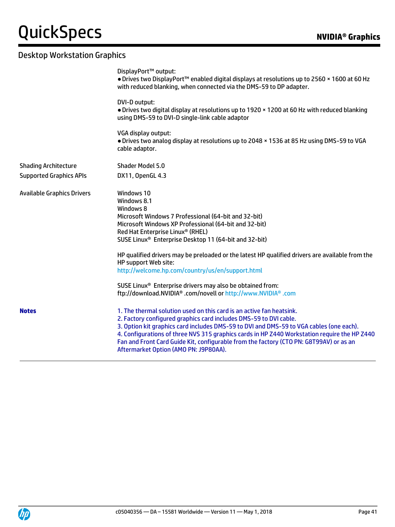|                                   | DisplayPort™ output:<br>• Drives two DisplayPort™ enabled digital displays at resolutions up to 2560 × 1600 at 60 Hz<br>with reduced blanking, when connected via the DMS-59 to DP adapter.                                                                                                                                                                                                                                                                                                                                                                                                                       |
|-----------------------------------|-------------------------------------------------------------------------------------------------------------------------------------------------------------------------------------------------------------------------------------------------------------------------------------------------------------------------------------------------------------------------------------------------------------------------------------------------------------------------------------------------------------------------------------------------------------------------------------------------------------------|
|                                   | DVI-D output:<br>. Drives two digital display at resolutions up to 1920 x 1200 at 60 Hz with reduced blanking<br>using DMS-59 to DVI-D single-link cable adaptor                                                                                                                                                                                                                                                                                                                                                                                                                                                  |
|                                   | VGA display output:<br>. Drives two analog display at resolutions up to 2048 x 1536 at 85 Hz using DMS-59 to VGA<br>cable adaptor.                                                                                                                                                                                                                                                                                                                                                                                                                                                                                |
| <b>Shading Architecture</b>       | <b>Shader Model 5.0</b>                                                                                                                                                                                                                                                                                                                                                                                                                                                                                                                                                                                           |
| <b>Supported Graphics APIs</b>    | DX11, OpenGL 4.3                                                                                                                                                                                                                                                                                                                                                                                                                                                                                                                                                                                                  |
| <b>Available Graphics Drivers</b> | Windows 10<br>Windows 8.1<br>Windows 8<br>Microsoft Windows 7 Professional (64-bit and 32-bit)<br>Microsoft Windows XP Professional (64-bit and 32-bit)<br>Red Hat Enterprise Linux® (RHEL)<br>SUSE Linux <sup>®</sup> Enterprise Desktop 11 (64-bit and 32-bit)<br>HP qualified drivers may be preloaded or the latest HP qualified drivers are available from the<br>HP support Web site:<br>http://welcome.hp.com/country/us/en/support.html<br>SUSE Linux <sup>®</sup> Enterprise drivers may also be obtained from:<br>ftp://download.NVIDIA <sup>®</sup> .com/novell or http://www.NVIDIA <sup>®</sup> .com |
| <b>Notes</b>                      | 1. The thermal solution used on this card is an active fan heatsink.<br>2. Factory configured graphics card includes DMS-59 to DVI cable.<br>3. Option kit graphics card includes DMS-59 to DVI and DMS-59 to VGA cables (one each).<br>4. Configurations of three NVS 315 graphics cards in HP Z440 Workstation require the HP Z440<br>Fan and Front Card Guide Kit, configurable from the factory (CTO PN: G8T99AV) or as an<br>Aftermarket Option (AMO PN: J9P80AA).                                                                                                                                           |

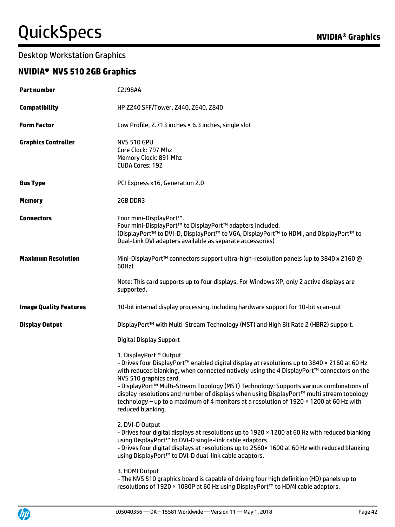#### Desktop Workstation Graphics

### **NVIDIA® NVS 510 2GB Graphics**

| <b>Part number</b>            | <b>C2J98AA</b>                                                                                                                                                                                                                                                                                                                                                                                                                                                                                                                                       |
|-------------------------------|------------------------------------------------------------------------------------------------------------------------------------------------------------------------------------------------------------------------------------------------------------------------------------------------------------------------------------------------------------------------------------------------------------------------------------------------------------------------------------------------------------------------------------------------------|
| <b>Compatibility</b>          | HP Z240 SFF/Tower, Z440, Z640, Z840                                                                                                                                                                                                                                                                                                                                                                                                                                                                                                                  |
| <b>Form Factor</b>            | Low Profile, 2.713 inches × 6.3 inches, single slot                                                                                                                                                                                                                                                                                                                                                                                                                                                                                                  |
| <b>Graphics Controller</b>    | <b>NVS 510 GPU</b><br>Core Clock: 797 Mhz<br>Memory Clock: 891 Mhz<br><b>CUDA Cores: 192</b>                                                                                                                                                                                                                                                                                                                                                                                                                                                         |
| <b>Bus Type</b>               | PCI Express x16, Generation 2.0                                                                                                                                                                                                                                                                                                                                                                                                                                                                                                                      |
| <b>Memory</b>                 | 2GB DDR3                                                                                                                                                                                                                                                                                                                                                                                                                                                                                                                                             |
| <b>Connectors</b>             | Four mini-DisplayPort™.<br>Four mini-DisplayPort™ to DisplayPort™ adapters included.<br>(DisplayPort™ to DVI-D, DisplayPort™ to VGA, DisplayPort™ to HDMI, and DisplayPort™ to<br>Dual-Link DVI adapters available as separate accessories)                                                                                                                                                                                                                                                                                                          |
| <b>Maximum Resolution</b>     | Mini-DisplayPort™ connectors support ultra-high-resolution panels (up to 3840 x 2160 @<br>60Hz)                                                                                                                                                                                                                                                                                                                                                                                                                                                      |
|                               | Note: This card supports up to four displays. For Windows XP, only 2 active displays are<br>supported.                                                                                                                                                                                                                                                                                                                                                                                                                                               |
| <b>Image Quality Features</b> | 10-bit internal display processing, including hardware support for 10-bit scan-out                                                                                                                                                                                                                                                                                                                                                                                                                                                                   |
| <b>Display Output</b>         | DisplayPort <sup>™</sup> with Multi-Stream Technology (MST) and High Bit Rate 2 (HBR2) support.                                                                                                                                                                                                                                                                                                                                                                                                                                                      |
|                               | <b>Digital Display Support</b>                                                                                                                                                                                                                                                                                                                                                                                                                                                                                                                       |
|                               | 1. DisplayPort™ Output<br>- Drives four DisplayPort™ enabled digital display at resolutions up to 3840 × 2160 at 60 Hz<br>with reduced blanking, when connected natively using the 4 DisplayPort™ connectors on the<br>NVS 510 graphics card.<br>- DisplayPort™ Multi-Stream Topology (MST) Technology: Supports various combinations of<br>display resolutions and number of displays when using DisplayPort™ multi stream topology<br>technology - up to a maximum of 4 monitors at a resolution of 1920 × 1200 at 60 Hz with<br>reduced blanking. |
|                               | 2. DVI-D Output<br>- Drives four digital displays at resolutions up to 1920 × 1200 at 60 Hz with reduced blanking<br>using DisplayPort™ to DVI-D single-link cable adaptors.<br>- Drives four digital displays at resolutions up to 2560x 1600 at 60 Hz with reduced blanking<br>using DisplayPort™ to DVI-D dual-link cable adaptors.                                                                                                                                                                                                               |
|                               | 3. HDMI Output<br>- The NVS 510 graphics board is capable of driving four high definition (HD) panels up to<br>resolutions of 1920 × 1080P at 60 Hz using DisplayPort™ to HDMI cable adaptors.                                                                                                                                                                                                                                                                                                                                                       |

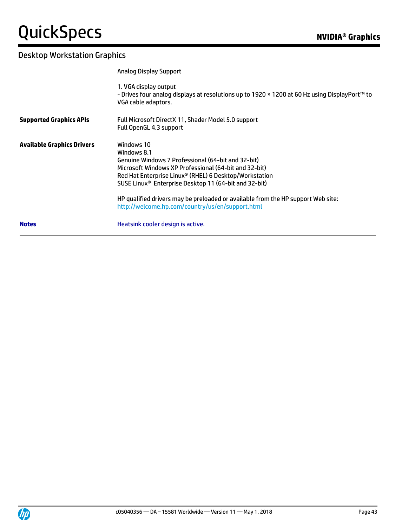|                                   | <b>Analog Display Support</b>                                                                                                                                                                                                                                                                                                                                                                                   |
|-----------------------------------|-----------------------------------------------------------------------------------------------------------------------------------------------------------------------------------------------------------------------------------------------------------------------------------------------------------------------------------------------------------------------------------------------------------------|
|                                   | 1. VGA display output<br>- Drives four analog displays at resolutions up to 1920 × 1200 at 60 Hz using DisplayPort™ to<br>VGA cable adaptors.                                                                                                                                                                                                                                                                   |
| <b>Supported Graphics APIs</b>    | Full Microsoft DirectX 11, Shader Model 5.0 support<br>Full OpenGL 4.3 support                                                                                                                                                                                                                                                                                                                                  |
| <b>Available Graphics Drivers</b> | Windows 10<br>Windows 8.1<br>Genuine Windows 7 Professional (64-bit and 32-bit)<br>Microsoft Windows XP Professional (64-bit and 32-bit)<br>Red Hat Enterprise Linux® (RHEL) 6 Desktop/Workstation<br>SUSE Linux <sup>®</sup> Enterprise Desktop 11 (64-bit and 32-bit)<br>HP qualified drivers may be preloaded or available from the HP support Web site:<br>http://welcome.hp.com/country/us/en/support.html |
| <b>Notes</b>                      | Heatsink cooler design is active.                                                                                                                                                                                                                                                                                                                                                                               |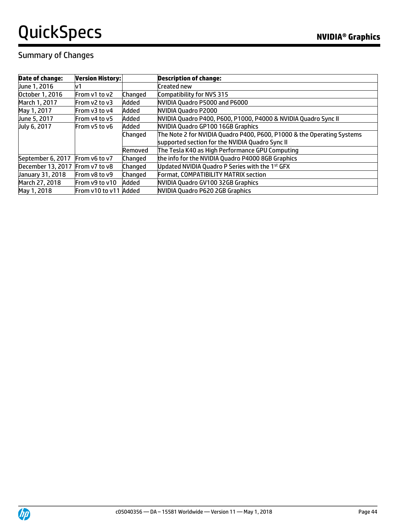### Summary of Changes

| <b>Date of change:</b>          | <b>Version History:</b> |         | <b>Description of change:</b>                                          |
|---------------------------------|-------------------------|---------|------------------------------------------------------------------------|
| June 1, 2016                    | v1                      |         | Created new                                                            |
| October 1, 2016                 | From v1 to v2           | Changed | Compatibility for NVS 315                                              |
| March 1, 2017                   | From v2 to v3           | Added   | NVIDIA Quadro P5000 and P6000                                          |
| May 1, 2017                     | From v3 to v4           | Added   | NVIDIA Quadro P2000                                                    |
| June 5, 2017                    | From v4 to v5           | Added   | NVIDIA Quadro P400, P600, P1000, P4000 & NVIDIA Quadro Sync II         |
| July 6, 2017                    | From v5 to v6           | Added   | NVIDIA Quadro GP100 16GB Graphics                                      |
|                                 |                         | Changed | The Note 2 for NVIDIA Quadro P400, P600, P1000 & the Operating Systems |
|                                 |                         |         | supported section for the NVIDIA Quadro Sync II                        |
|                                 |                         | Removed | The Tesla K40 as High Performance GPU Computing                        |
| September 6, 2017               | From v6 to v7           | Changed | the info for the NVIDIA Quadro P4000 8GB Graphics                      |
| December 13, 2017 From v7 to v8 |                         | Changed | Updated NVIDIA Quadro P Series with the 1st GFX                        |
| January 31, 2018                | From v8 to v9           | Changed | Format, COMPATIBILITY MATRIX section                                   |
| March 27, 2018                  | From v9 to v10          | Added   | NVIDIA Quadro GV100 32GB Graphics                                      |
| May 1, 2018                     | From v10 to v11 Added   |         | NVIDIA Quadro P620 2GB Graphics                                        |